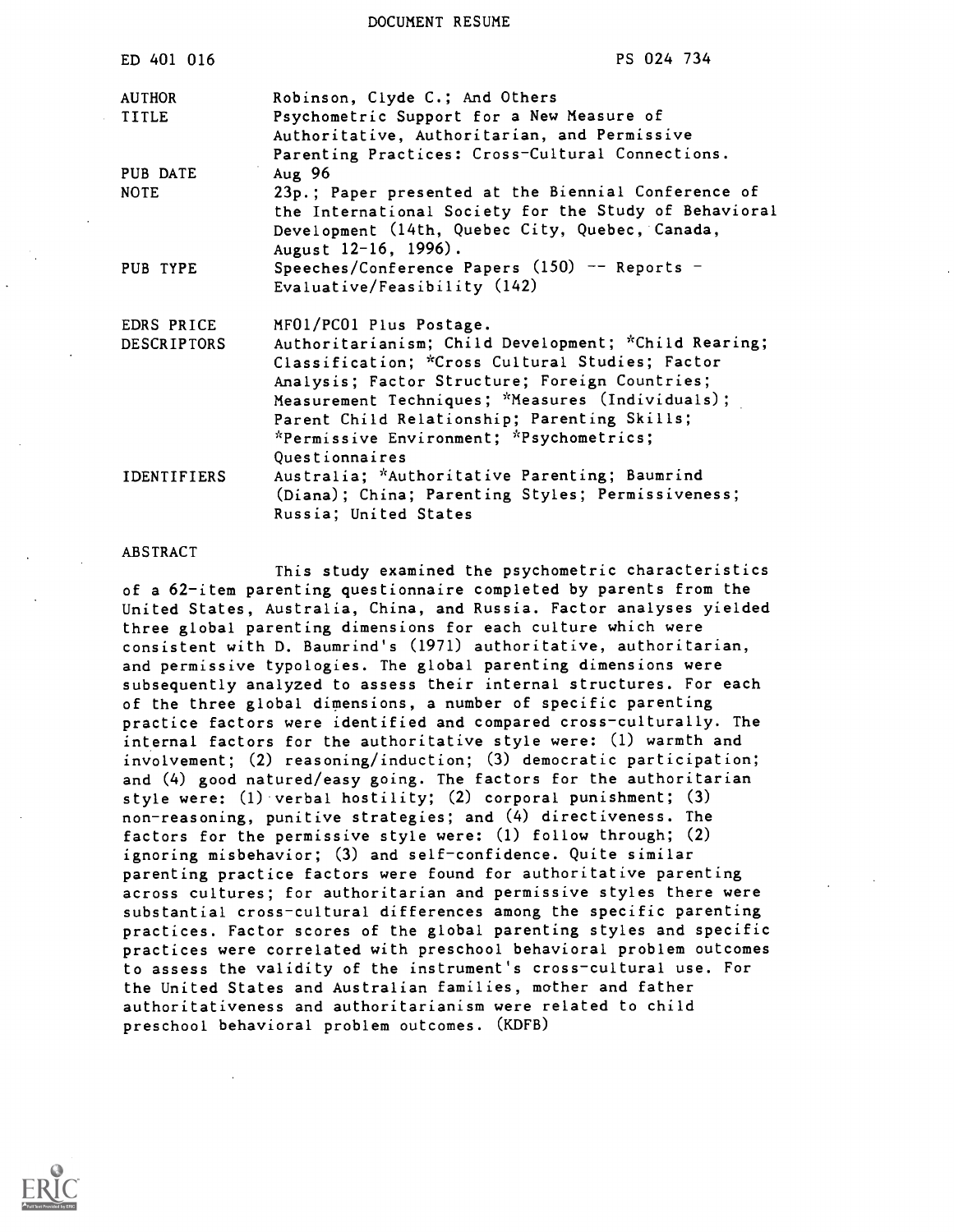DOCUMENT RESUME

| ED 401 016                       | PS 024 734                                                                                                                                                                                                                                                                                                                                             |
|----------------------------------|--------------------------------------------------------------------------------------------------------------------------------------------------------------------------------------------------------------------------------------------------------------------------------------------------------------------------------------------------------|
| <b>AUTHOR</b><br><b>TITLE</b>    | Robinson, Clyde C.; And Others<br>Psychometric Support for a New Measure of<br>Authoritative, Authoritarian, and Permissive<br>Parenting Practices: Cross-Cultural Connections.                                                                                                                                                                        |
| PUB DATE<br><b>NOTE</b>          | Aug $96$<br>23p.; Paper presented at the Biennial Conference of<br>the International Society for the Study of Behavioral<br>Development (14th, Quebec City, Quebec, Canada,<br>August 12-16, 1996).                                                                                                                                                    |
| PUB TYPE                         | Speeches/Conference Papers $(150)$ -- Reports -<br>Evaluative/Feasibility (142)                                                                                                                                                                                                                                                                        |
| EDRS PRICE<br><b>DESCRIPTORS</b> | MF01/PC01 Plus Postage.<br>Authoritarianism; Child Development; *Child Rearing;<br>Classification; *Cross Cultural Studies; Factor<br>Analysis; Factor Structure; Foreign Countries;<br>Measurement Techniques; *Measures (Individuals);<br>Parent Child Relationship; Parenting Skills;<br>*Permissive Environment; *Psychometrics;<br>Questionnaires |
| <b>IDENTIFIERS</b>               | Australia; *Authoritative Parenting; Baumrind<br>(Diana); China; Parenting Styles; Permissiveness;<br>Russia; United States                                                                                                                                                                                                                            |

#### ABSTRACT

This study examined the psychometric characteristics of a 62-item parenting questionnaire completed by parents from the United States, Australia, China, and Russia. Factor analyses yielded three global parenting dimensions for each culture which were consistent with D. Baumrind's (1971) authoritative, authoritarian, and permissive typologies. The global parenting dimensions were subsequently analyzed to assess their internal structures. For each of the three global dimensions, a number of specific parenting practice factors were identified and compared cross-culturally. The internal factors for the authoritative style were: (1) warmth and involvement; (2) reasoning/induction; (3) democratic participation; and (4) good natured/easy going. The factors for the authoritarian style were: (1) verbal hostility; (2) corporal punishment; (3) non-reasoning, punitive strategies; and (4) directiveness. The factors for the permissive style were: (1) follow through; (2) ignoring misbehavior; (3) and self-confidence. Quite similar parenting practice factors were found for authoritative parenting across cultures; for authoritarian and permissive styles there were substantial cross-cultural differences among the specific parenting practices. Factor scores of the global parenting styles and specific practices were correlated with preschool behavioral problem outcomes to assess the validity of the instrument's cross-cultural use. For the United States and Australian families, mother and father authoritativeness and authoritarianism were related to child preschool behavioral problem outcomes. (KDFB)

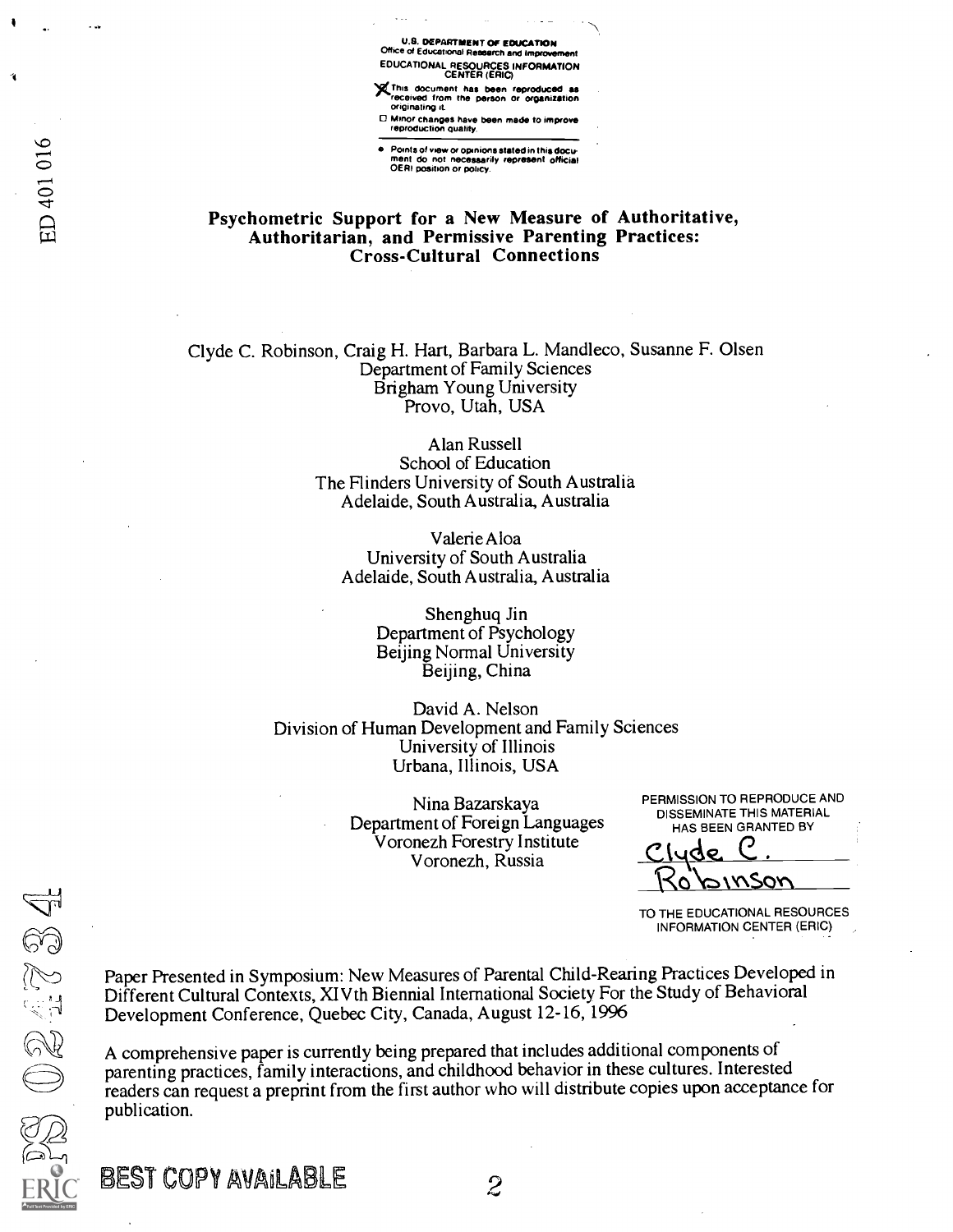U.S. DEPARTMENT OF EDUCATION<br>e of Educational Research and Improve Office of Educational Rese EDUCATIONAL RESOURCES INFORMATION CENTER (ERIC)

)(This document has been reproduced as received from the person or organization originating it

Minor changes have been made to improve reproduction duality

Points of view or opinions stated in this docu-<br>ment do not necessarily represent official<br>OERI position or policy.

# Psychometric Support for a New Measure of Authoritative, Authoritarian, and Permissive Parenting Practices: Cross-Cultural Connections

Clyde C. Robinson, Craig H. Hart, Barbara L. Mandleco, Susanne F. Olsen Department of Family Sciences Brigham Young University Provo, Utah, USA

> Alan Russell School of Education The Hinders University of South Australia Adelaide, South Australia, Australia

Valerie Aloa University of South Australia Adelaide, South Australia, Australia

> Shenghuq Jin Department of Psychology Beijing Normal University Beijing, China

David A. Nelson Division of Human Development and Family Sciences University of Illinois Urbana, Illinois, USA

> Nina Bazarskaya Department of Foreign Languages Voronezh Forestry Institute Voronezh, Russia

PERMISSION TO REPRODUCE AND DISSEMINATE THIS MATERIAL HAS BEEN GRANTED BY

Clyde C. x\SQYN

TO THE EDUCATIONAL RESOURCES INFORMATION CENTER (ERIC)

Paper Presented in Symposium: New Measures of Parental Child-Rearing Practices Developed in Different Cultural Contexts, XI Vth Biennial International Society For the Study of Behavioral Development Conference, Quebec City, Canada, August 12-16, 1996

A comprehensive paper is currently being prepared that includes additional components of parenting practices, family interactions, and childhood behavior in these cultures. Interested readers can request a preprint from the first author who will distribute copies upon acceptance for publication.

024734

BEST COPY AVAILABLE

 $\overline{c}$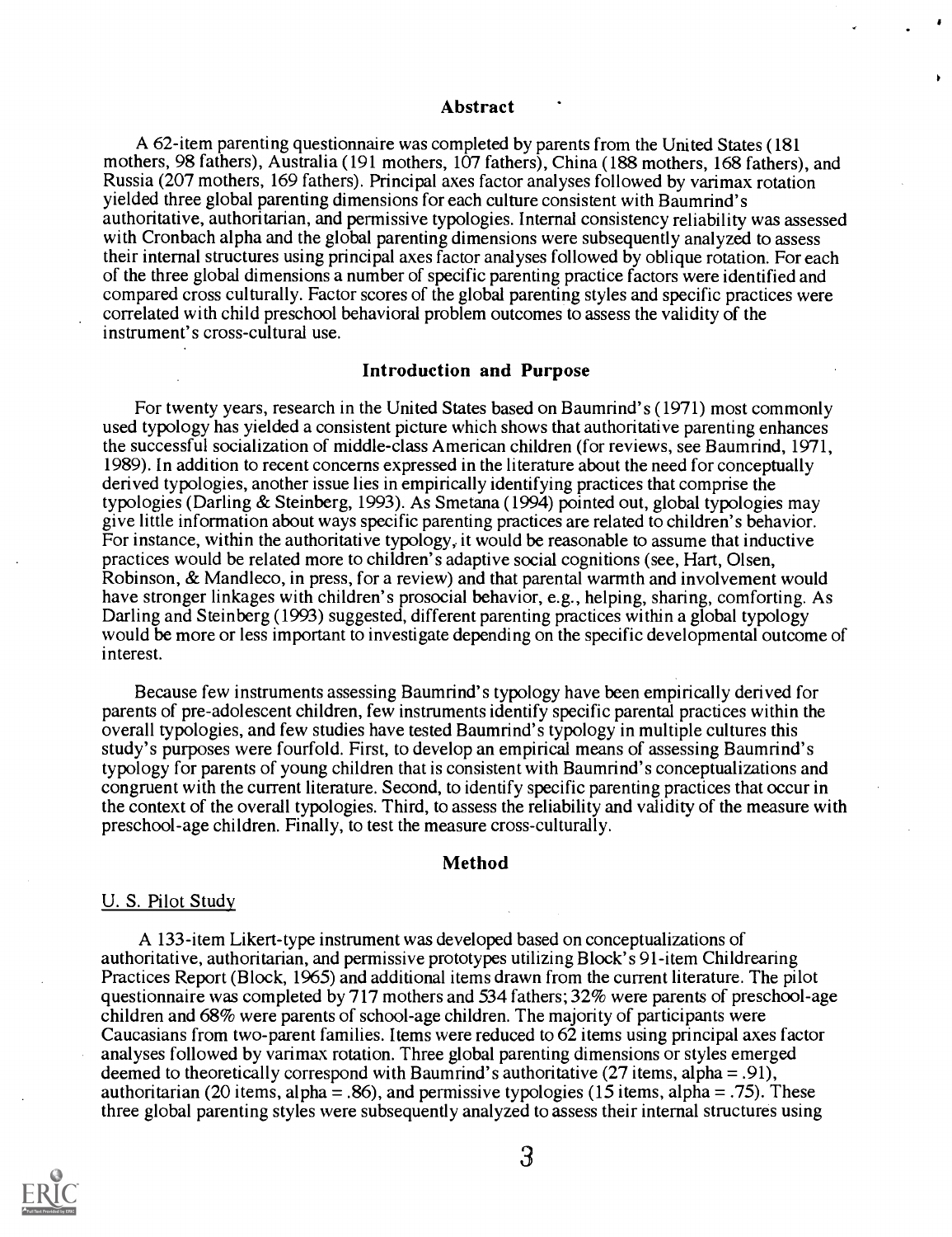#### Abstract

A 62-item parenting questionnaire was completed by parents from the United States (181 mothers, 98 fathers), Australia (191 mothers, 107 fathers), China (188 mothers, 168 fathers), and Russia (207 mothers, 169 fathers). Principal axes factor analyses followed by varimax rotation yielded three global parenting dimensions for each culture consistent with Baumrind's authoritative, authoritarian, and permissive typologies. Internal consistency reliability was assessed with Cronbach alpha and the global parenting dimensions were subsequently analyzed to assess their internal structures using principal axes factor analyses followed by oblique rotation. For each of the three global dimensions a number of specific parenting practice factors were identified and compared cross culturally. Factor scores of the global parenting styles and specific practices were correlated with child preschool behavioral problem outcomes to assess the validity of the instrument's cross-cultural use.

#### Introduction and Purpose

For twenty years, research in the United States based on Baumrind's (1971) most commonly used typology has yielded a consistent picture which shows that authoritative parenting enhances the successful socialization of middle-class American children (for reviews, see Baumrind, 1971, 1989). In addition to recent concerns expressed in the literature about the need for conceptually derived typologies, another issue lies in empirically identifying practices that comprise the typologies (Darling & Steinberg, 1993). As Smetana (1994) pointed out, global typologies may give little information about ways specific parenting practices are related to children's behavior. For instance, within the authoritative typology, it would be reasonable to assume that inductive practices would be related more to children's adaptive social cognitions (see, Hart, Olsen, Robinson, & Mandleco, in press, for a review) and that parental warmth and involvement would have stronger linkages with children's prosocial behavior, e.g., helping, sharing, comforting. As Darling and Steinberg (1993) suggested, different parenting practices within a global typology would be more or less important to investigate depending on the specific developmental outcome of interest.

Because few instruments assessing Baumrind's typology have been empirically derived for parents of pre-adolescent children, few instruments identify specific parental practices within the overall typologies, and few studies have tested Baumrind's typology in multiple cultures this study's purposes were fourfold. First, to develop an empirical means of assessing Baumrind's typology for parents of young children that is consistent with Baumrind's conceptualizations and congruent with the current literature. Second, to identify specific parenting practices that occur in the context of the overall typologies. Third, to assess the reliability and validity of the measure with preschool-age children. Finally, to test the measure cross-culturally.

#### Method

#### U. S. Pilot Study

A 133-item Likert-type instrument was developed based on conceptualizations of authoritative, authoritarian, and permissive prototypes utilizing Block's 91-item Childrearing Practices Report (Block, 1965) and additional items drawn from the current literature. The pilot questionnaire was completed by 717 mothers and 534 fathers; 32% were parents of preschool-age children and 68% were parents of school-age children. The majority of participants were Caucasians from two-parent families. Items were reduced to 62 items using principal axes factor analyses followed by varimax rotation. Three global parenting dimensions or styles emerged deemed to theoretically correspond with Baumrind's authoritative (27 items, alpha = .91), authoritarian (20 items, alpha = .86), and permissive typologies (15 items, alpha = .75). These three global parenting styles were subsequently analyzed to assess their internal structures using

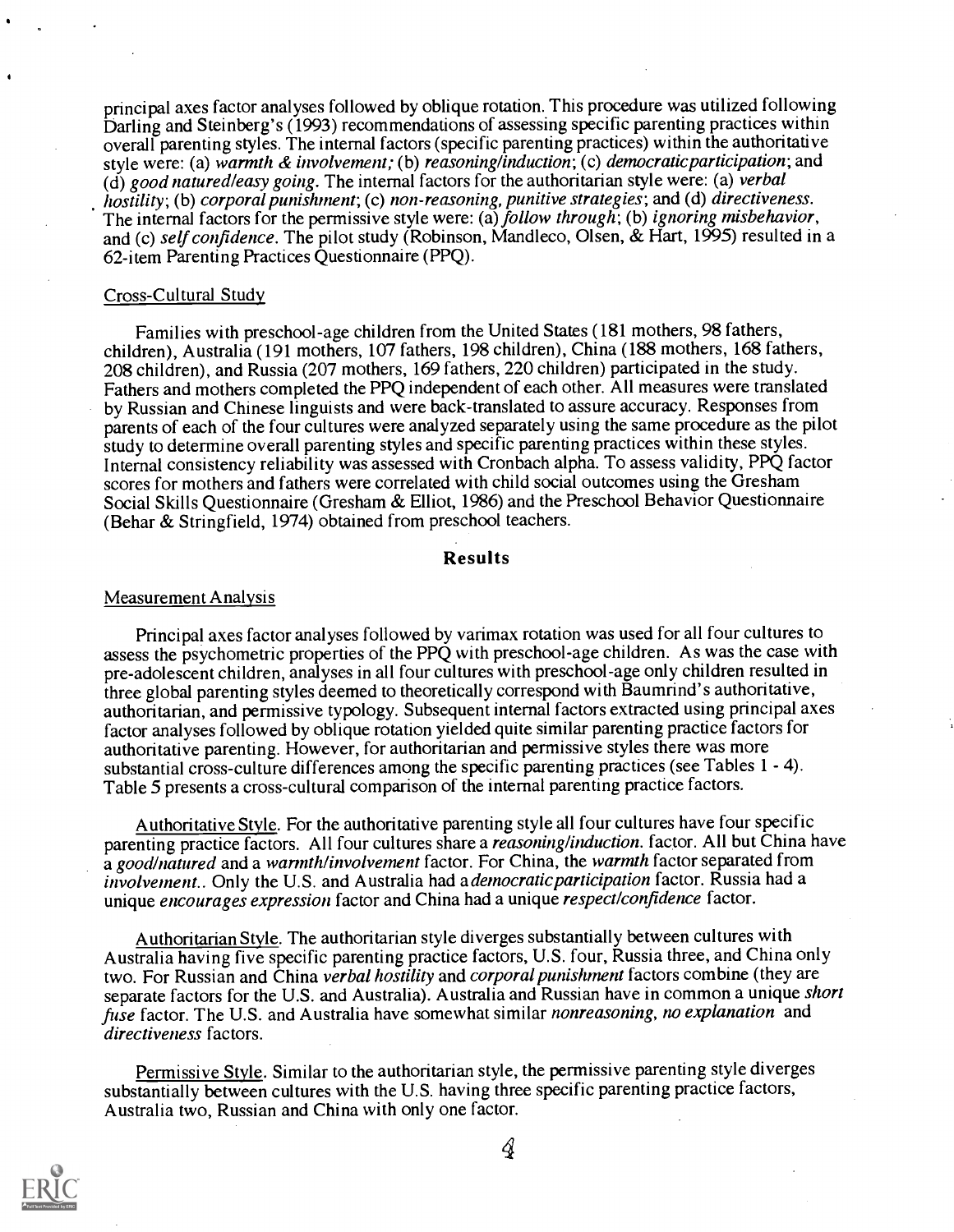principal axes factor analyses followed by oblique rotation. This procedure was utilized following Darling and Steinberg's (1993) recommendations of assessing specific parenting practices within overall parenting styles. The internal factors (specific parenting practices) within the authoritative style were: (a) warmth & involvement; (b) reasoning/induction; (c) democratic participation; and  $(d)$  good natured leasy going. The internal factors for the authoritarian style were: (a) verbal hostility; (b) corporal punishment; (c) non-reasoning, punitive strategies; and (d) directiveness. The internal factors for the permissive style were: (a) follow through; (b) ignoring misbehavior, and (c) self confidence. The pilot study (Robinson, Mandleco, Olsen, & Hart, 1995) resulted in a 62-item Parenting Practices Questionnaire (PPQ).

#### Cross-Cultural Study

Families with preschool-age children from the United States (181 mothers, 98 fathers, children), Australia (191 mothers, 107 fathers, 198 children), China (188 mothers, 168 fathers, 208 children), and Russia (207 mothers, 169 fathers, 220 children) participated in the study. Fathers and mothers completed the PPQ independent of each other. All measures were translated by Russian and Chinese linguists and were back-translated to assure accuracy. Responses from parents of each of the four cultures were analyzed separately using the same procedure as the pilot study to determine overall parenting styles and specific parenting practices within these styles. Internal consistency reliability was assessed with Cronbach alpha. To assess validity, PPQ factor scores for mothers and fathers were correlated with child social outcomes using the Gresham Social Skills Questionnaire (Gresham & Elliot, 1986) and the Preschool Behavior Questionnaire (Behar & Stringfield, 1974) obtained from preschool teachers.

#### Results

#### Measurement Analysis

Principal axes factor analyses followed by varimax rotation was used for all four cultures to assess the psychometric properties of the PPQ with preschool-age children. As was the case with pre-adolescent children, analyses in all four cultures with preschool-age only children resulted in three global parenting styles deemed to theoretically correspond with Baumrind's authoritative, authoritarian, and permissive typology. Subsequent internal factors extracted using principal axes factor analyses followed by oblique rotation yielded quite similar parenting practice factors for authoritative parenting. However, for authoritarian and permissive styles there was more substantial cross-culture differences among the specific parenting practices (see Tables 1 - 4). Table 5 presents a cross-cultural comparison of the internal parenting practice factors.

Authoritative Style. For the authoritative parenting style all four cultures have four specific parenting practice factors. All four cultures share a *reasoning/induction*. factor. All but China have a good/natured and a warmth/involvement factor. For China, the warmth factor separated from involvement.. Only the U.S. and Australia had a *democratic participation* factor. Russia had a unique encourages expression factor and China had a unique respect/confidence factor.

Authoritarian Style. The authoritarian style diverges substantially between cultures with Australia having five specific parenting practice factors, U.S. four, Russia three, and China only two. For Russian and China verbal hostility and corporal punishment factors combine (they are separate factors for the U.S. and Australia). Australia and Russian have in common a unique *short* fuse factor. The U.S. and Australia have somewhat similar nonreasoning, no explanation and directiveness factors.

Permissive Style. Similar to the authoritarian style, the permissive parenting style diverges substantially between cultures with the U.S. having three specific parenting practice factors, Australia two, Russian and China with only one factor.



4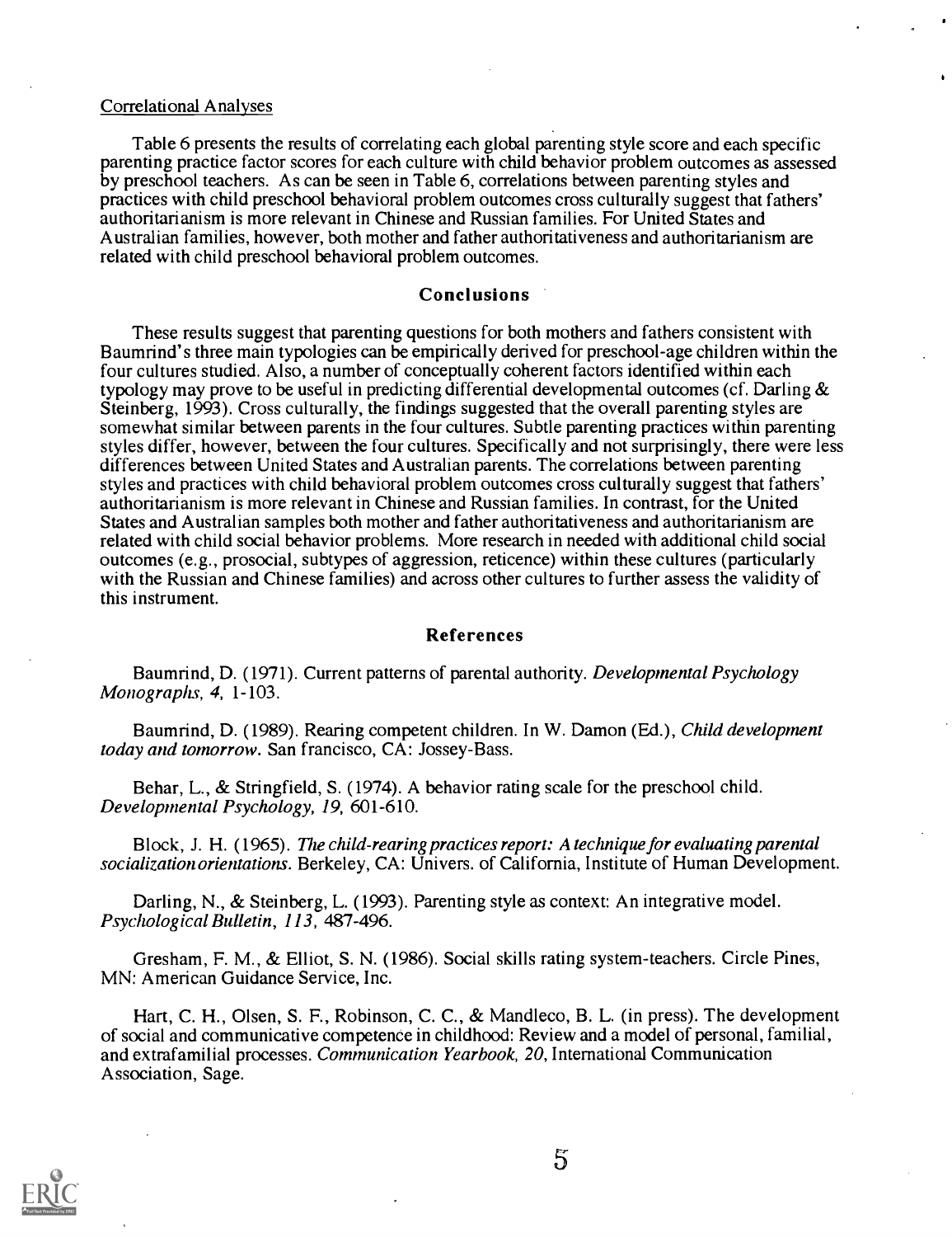#### Correlational Analyses

Table 6 presents the results of correlating each global parenting style score and each specific parenting practice factor scores for each culture with child behavior problem outcomes as assessed by preschool teachers. As can be seen in Table 6, correlations between parenting styles and practices with child preschool behavioral problem outcomes cross culturally suggest that fathers' authoritarianism is more relevant in Chinese and Russian families. For United States and Australian families, however, both mother and father authoritativeness and authoritarianism are related with child preschool behavioral problem outcomes.

#### Conclusions

These results suggest that parenting questions for both mothers and fathers consistent with Baumrind's three main typologies can be empirically derived for preschool-age children within the four cultures studied. Also, a number of conceptually coherent factors identified within each typology may prove to be useful in predicting differential developmental outcomes (cf. Darling & Steinberg, 1993). Cross culturally, the findings suggested that the overall parenting styles are somewhat similar between parents in the four cultures. Subtle parenting practices within parenting styles differ, however, between the four cultures. Specifically and not surprisingly, there were less differences between United States and Australian parents. The correlations between parenting styles and practices with child behavioral problem outcomes cross culturally suggest that fathers' authoritarianism is more relevant in Chinese and Russian families. In contrast, for the United States and Australian samples both mother and father authoritativeness and authoritarianism are related with child social behavior problems. More research in needed with additional child social outcomes (e.g., prosocial, subtypes of aggression, reticence) within these cultures (particularly with the Russian and Chinese families) and across other cultures to further assess the validity of this instrument.

#### References

Baumrind, D. (1971). Current patterns of parental authority. *Developmental Psychology* Monographs, 4, 1-103.

Baumrind, D. (1989). Rearing competent children. In W. Damon (Ed.), Child development today and tomorrow. San francisco, CA: Jossey-Bass.

Behar, L., & Stringfield, S. (1974). A behavior rating scale for the preschool child. Developmental Psychology, 19, 601-610.

Block, J. H. (1965). The child-rearing practices report: A technique for evaluating parental socialization orientations. Berkeley, CA: Univers. of California, Institute of Human Development.

Darling, N., & Steinberg, L. (1993). Parenting style as context: An integrative model. Psychological Bulletin, 113, 487-496.

Gresham, F. M., & Elliot, S. N. (1986). Social skills rating system-teachers. Circle Pines, MN: American Guidance Service, Inc.

Hart, C. H., Olsen, S. F., Robinson, C. C., & Mandleco, B. L. (in press). The development of social and communicative competence in childhood: Review and a model of personal, familial, and extrafamilial processes. Communication Yearbook, 20, International Communication Association, Sage.

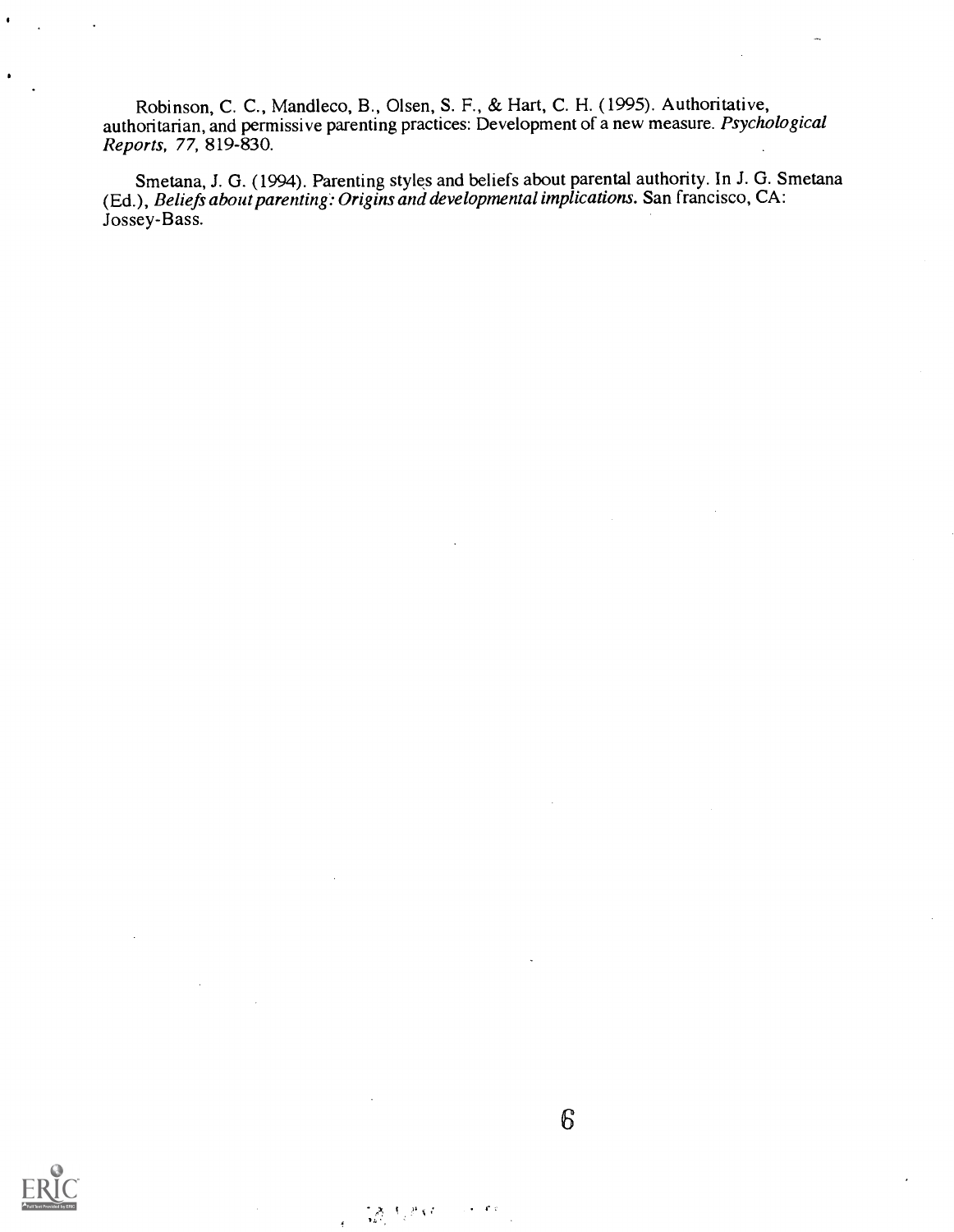Robinson, C. C., Mandleco, B., Olsen, S. F., & Hart, C. H. (1995). Authoritative, authoritarian, and permissive parenting practices: Development of a new measure. Psychological Reports, 77, 819-830.

Smetana, J. G. (1994). Parenting styles and beliefs about parental authority. In J. G. Smetana (Ed.), Beliefs about parenting: Origins and developmental implications. San francisco, CA: Jossey-Bass.

 $6\overline{6}$ 

 $\frac{1}{2} \sum_{k=1}^{\infty} \frac{1}{2} \sum_{j=1}^{\infty} \frac{1}{k} \nabla^2 \nabla^2$ 

 $\epsilon = \sigma/\epsilon$ 

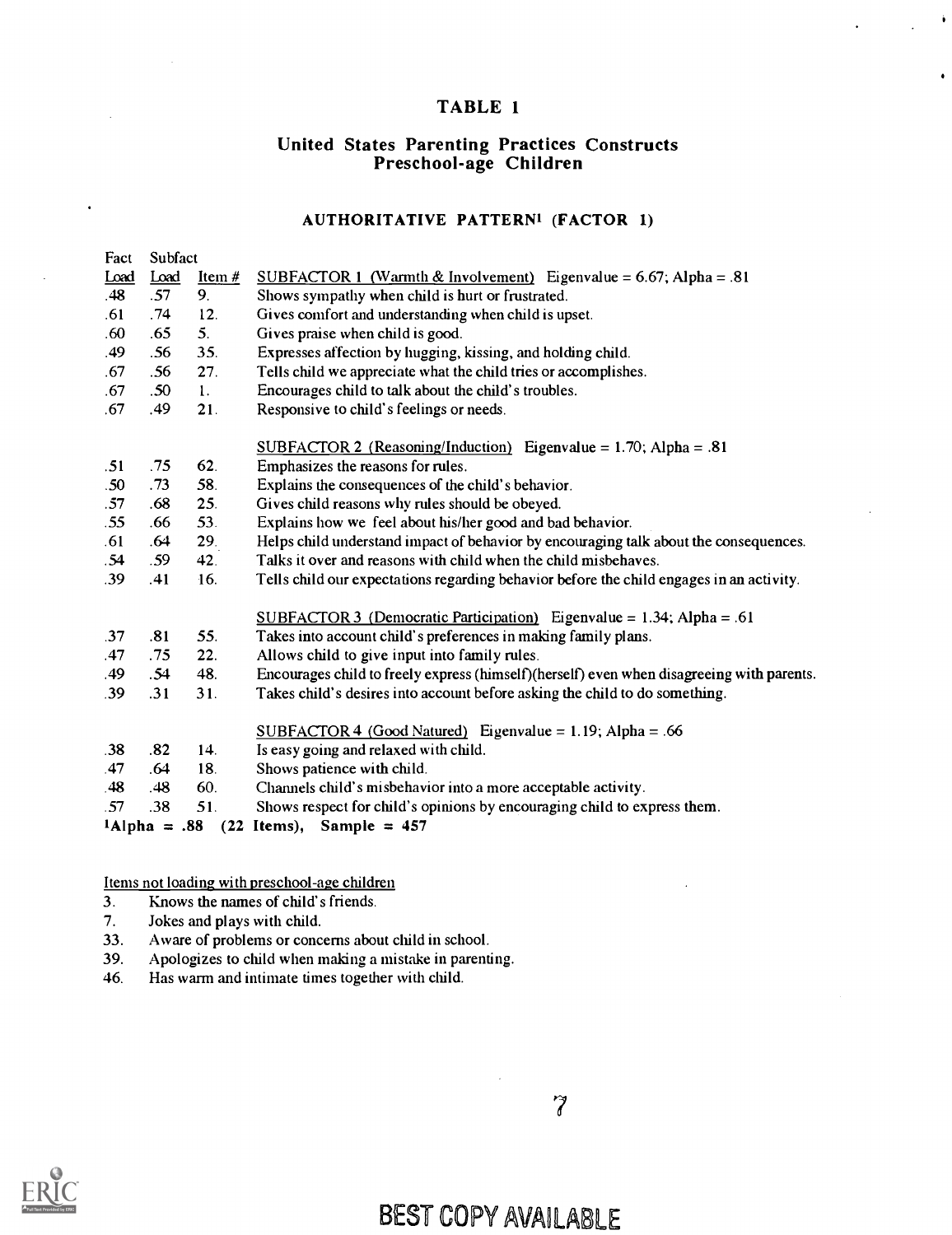### TABLE 1

 $\hat{\textbf{t}}$ 

# United States Parenting Practices Constructs Preschool-age Children

#### AUTHORITATIVE PATTERN' (FACTOR 1)

| Fact | Subfact          |                |                                                                                           |
|------|------------------|----------------|-------------------------------------------------------------------------------------------|
| Load | Load             | Item $#$       | <u>SUBFACTOR 1 (Warmth &amp; Involvement)</u> Eigenvalue = 6.67; Alpha = .81              |
| .48  | .57              | 9.             | Shows sympathy when child is hurt or frustrated.                                          |
| .61  | .74              | 12.            | Gives comfort and understanding when child is upset.                                      |
| .60  | .65              | 5.             | Gives praise when child is good.                                                          |
| .49  | .56              | 35.            | Expresses affection by hugging, kissing, and holding child.                               |
| .67  | .56              | 27.            | Tells child we appreciate what the child tries or accomplishes.                           |
| .67  | .50 <sub>0</sub> | $\mathbf{1}$ . | Encourages child to talk about the child's troubles.                                      |
| .67  | .49              | 21.            | Responsive to child's feelings or needs.                                                  |
|      |                  |                | SUBFACTOR 2 (Reasoning/Induction) Eigenvalue = $1.70$ ; Alpha = .81                       |
| .51  | .75              | 62.            | Emphasizes the reasons for rules.                                                         |
| .50  | .73              | 58.            | Explains the consequences of the child's behavior.                                        |
| .57  | .68              | 25.            | Gives child reasons why rules should be obeyed.                                           |
| .55  | .66              | 53.            | Explains how we feel about his/her good and bad behavior.                                 |
| .61  | .64              | 29.            | Helps child understand impact of behavior by encouraging talk about the consequences.     |
| .54  | .59              | 42.            | Talks it over and reasons with child when the child misbehaves.                           |
| .39  | .41              | 16.            | Tells child our expectations regarding behavior before the child engages in an activity.  |
|      |                  |                | SUBFACTOR 3 (Democratic Participation) Eigenvalue = $1.34$ ; Alpha = .61                  |
| .37  | .81              | 55.            | Takes into account child's preferences in making family plans.                            |
| .47  | .75              | 22.            | Allows child to give input into family rules.                                             |
| .49  | .54              | 48.            | Encourages child to freely express (himself)(herself) even when disagreeing with parents. |
| .39  | .31              | 31.            | Takes child's desires into account before asking the child to do something.               |
|      |                  |                | $SUBFACTOR 4 (Good Natural) Eigenvalue = 1.19; Alpha = .66$                               |
| .38  | .82              | 14.            | Is easy going and relaxed with child.                                                     |
| .47  | .64              | 18.            | Shows patience with child.                                                                |
| .48  | .48              | 60.            | Channels child's misbehavior into a more acceptable activity.                             |
| .57  | .38              | 51.            | Shows respect for child's opinions by encouraging child to express them.                  |
|      | $1$ Alpha = .88  |                | $(22$ Items), Sample = 457                                                                |

Items not loading with preschool-age children

- 3. Knows the names of child's friends.
- 7. Jokes and plays with child.
- 33. Aware of problems or concerns about child in school.
- 39. Apologizes to child when making a mistake in parenting.
- 46. Has warm and intimate times together with child.



 $\widetilde{7}$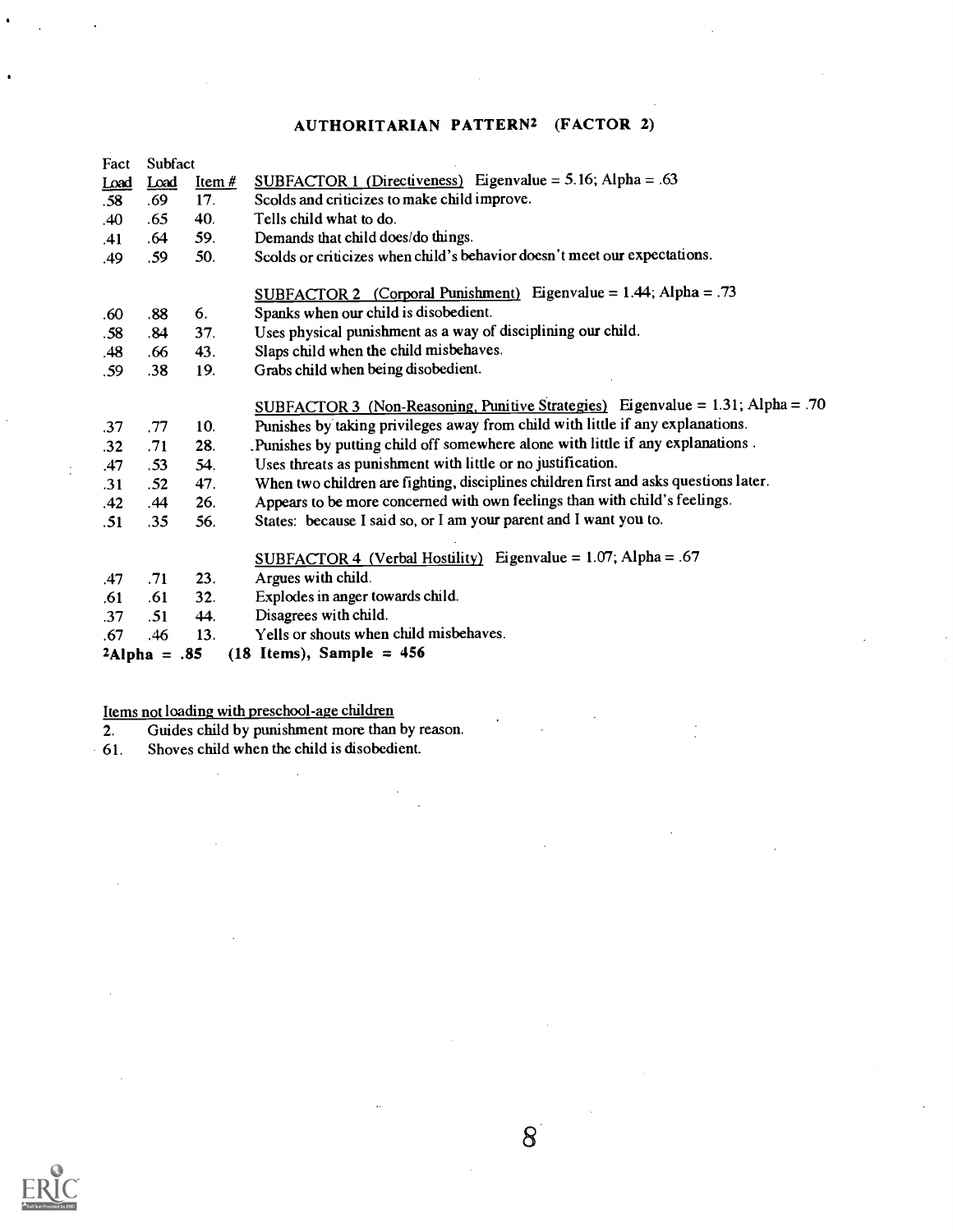### AUTHORITARIAN PATTERN2 (FACTOR 2)

| Fact | Subfact         |          |                                                                                      |  |
|------|-----------------|----------|--------------------------------------------------------------------------------------|--|
| Load | Load            | Item $#$ | SUBFACTOR 1 (Directiveness) Eigenvalue = 5.16; Alpha = .63                           |  |
| .58  | .69             | 17.      | Scolds and criticizes to make child improve.                                         |  |
| .40  | .65             | 40.      | Tells child what to do.                                                              |  |
| .41  | .64             | 59.      | Demands that child does/do things.                                                   |  |
| .49  | .59             | 50.      | Scolds or criticizes when child's behavior doesn't meet our expectations.            |  |
|      |                 |          | SUBFACTOR 2 (Corporal Punishment) Eigenvalue = $1.44$ ; Alpha = .73                  |  |
| .60  | .88             | 6.       | Spanks when our child is disobedient.                                                |  |
| .58  | .84             | 37.      | Uses physical punishment as a way of disciplining our child.                         |  |
| .48  | .66             | 43.      | Slaps child when the child misbehaves.                                               |  |
| .59  | .38             | 19.      | Grabs child when being disobedient.                                                  |  |
|      |                 |          | SUBFACTOR 3 (Non-Reasoning, Punitive Strategies) Eigenvalue = $1.31$ ; Alpha = .70   |  |
| .37  | .77             | 10.      | Punishes by taking privileges away from child with little if any explanations.       |  |
| .32  | .71             | 28.      | Punishes by putting child off somewhere alone with little if any explanations.       |  |
| .47  | .53             | 54.      | Uses threats as punishment with little or no justification.                          |  |
| .31  | .52             | 47.      | When two children are fighting, disciplines children first and asks questions later. |  |
| .42  | .44             | 26.      | Appears to be more concerned with own feelings than with child's feelings.           |  |
| .51  | .35             | 56.      | States: because I said so, or I am your parent and I want you to.                    |  |
|      |                 |          | SUBFACTOR 4 (Verbal Hostility) Eigenvalue = $1.07$ ; Alpha = .67                     |  |
| .47  | .71             | 23.      | Argues with child.                                                                   |  |
| .61  | .61             | 32.      | Explodes in anger towards child.                                                     |  |
| .37  | .51             | 44.      | Disagrees with child.                                                                |  |
| .67  | .46             | 13.      | Yells or shouts when child misbehaves.                                               |  |
|      |                 |          |                                                                                      |  |
|      | $2$ Alpha = .85 |          | $(18$ Items), Sample = 456                                                           |  |

#### Items not loading with preschool-age children

 $\mathbb{R}^2$ 

2. Guides child by punishment more than by reason.

 $\ddot{\phantom{a}}$ 

 $8<sup>1</sup>$ 

 $\mathcal{L}$ 

61. Shoves child when the child is disobedient.

 $\bullet$ 

÷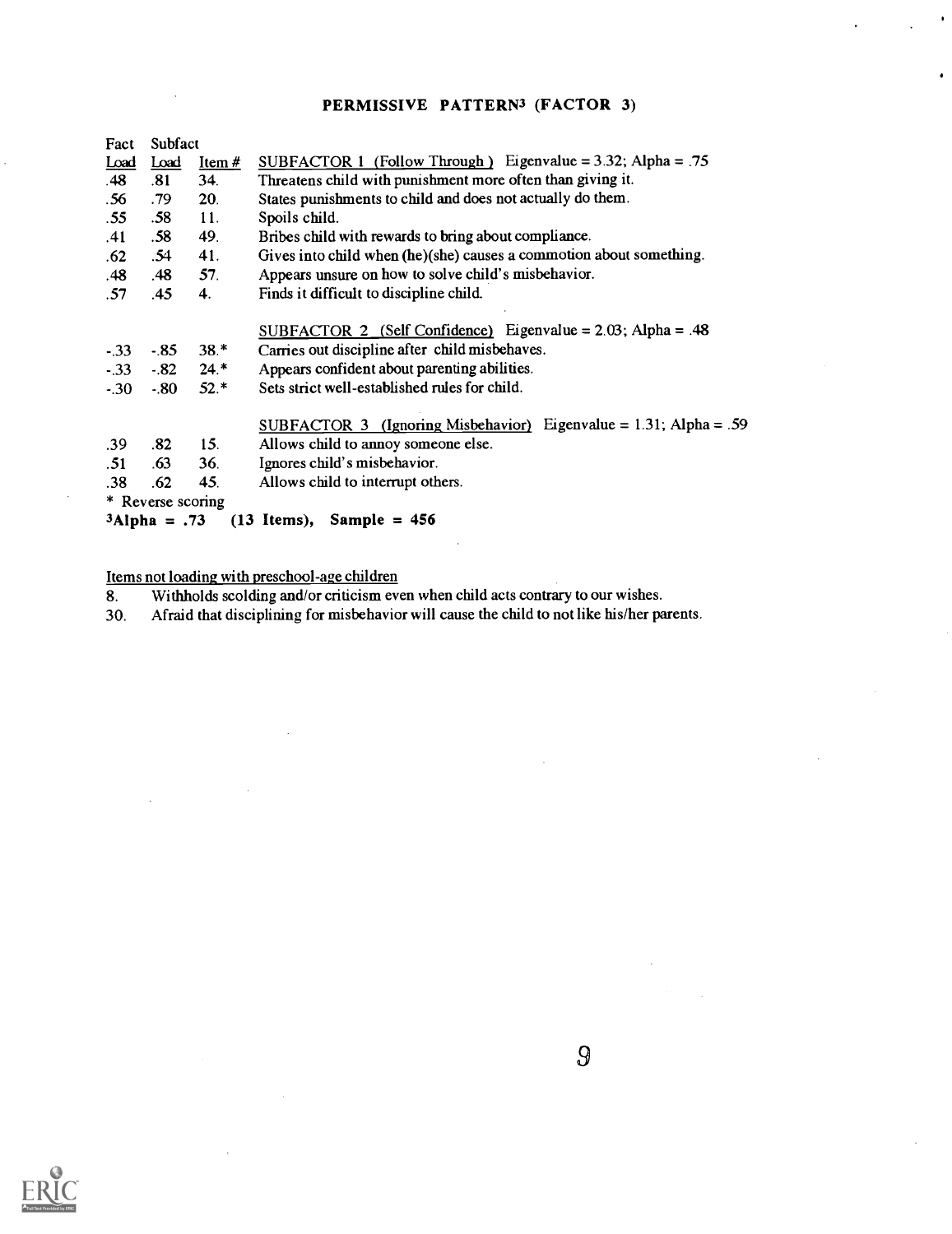### PERMISSIVE PATTERN<sup>3</sup> (FACTOR 3)

 $\bullet$ 

| Fact        | Subfact           |          |                                                                      |
|-------------|-------------------|----------|----------------------------------------------------------------------|
| <u>Load</u> | <b>Load</b>       | Item $#$ | SUBFACTOR 1 (Follow Through) Eigenvalue = $3.32$ ; Alpha = .75       |
| .48         | .81               | 34.      | Threatens child with punishment more often than giving it.           |
| .56         | .79               | 20.      | States punishments to child and does not actually do them.           |
| .55         | .58               | 11.      | Spoils child.                                                        |
| .41         | .58               | 49.      | Bribes child with rewards to bring about compliance.                 |
| .62         | .54               | 41.      | Gives into child when (he)(she) causes a commotion about something.  |
| .48         | .48               | 57.      | Appears unsure on how to solve child's misbehavior.                  |
| .57         | .45               | 4.       | Finds it difficult to discipline child.                              |
|             |                   |          | SUBFACTOR 2 (Self Confidence) Eigenvalue = $2.03$ ; Alpha = .48      |
| $-33$       | $-85$             | $38.*$   | Carries out discipline after child misbehaves.                       |
| $-33$       | $-.82$            | $24.*$   | Appears confident about parenting abilities.                         |
| $-30$       | $-80$             | $52.*$   | Sets strict well-established rules for child.                        |
|             |                   |          | SUBFACTOR 3 (Ignoring Misbehavior) Eigenvalue = $1.31$ ; Alpha = .59 |
| .39         | .82               | 15.      | Allows child to annoy someone else.                                  |
| .51         | .63               | 36.      | Ignores child's misbehavior.                                         |
| .38         | .62               | 45.      | Allows child to interrupt others.                                    |
|             | * Reverse scoring |          |                                                                      |
|             | $3$ Alpha = .73   |          | $(13 \text{Items})$ , Sample = 456                                   |

Items not loading with preschool-age children<br>8. Withholds scolding and/or criticism eve 8. Withholds scolding and/or criticism even when child acts contrary to our wishes.

30. Afraid that disciplining for misbehavior will cause the child to not like his/her parents.

t,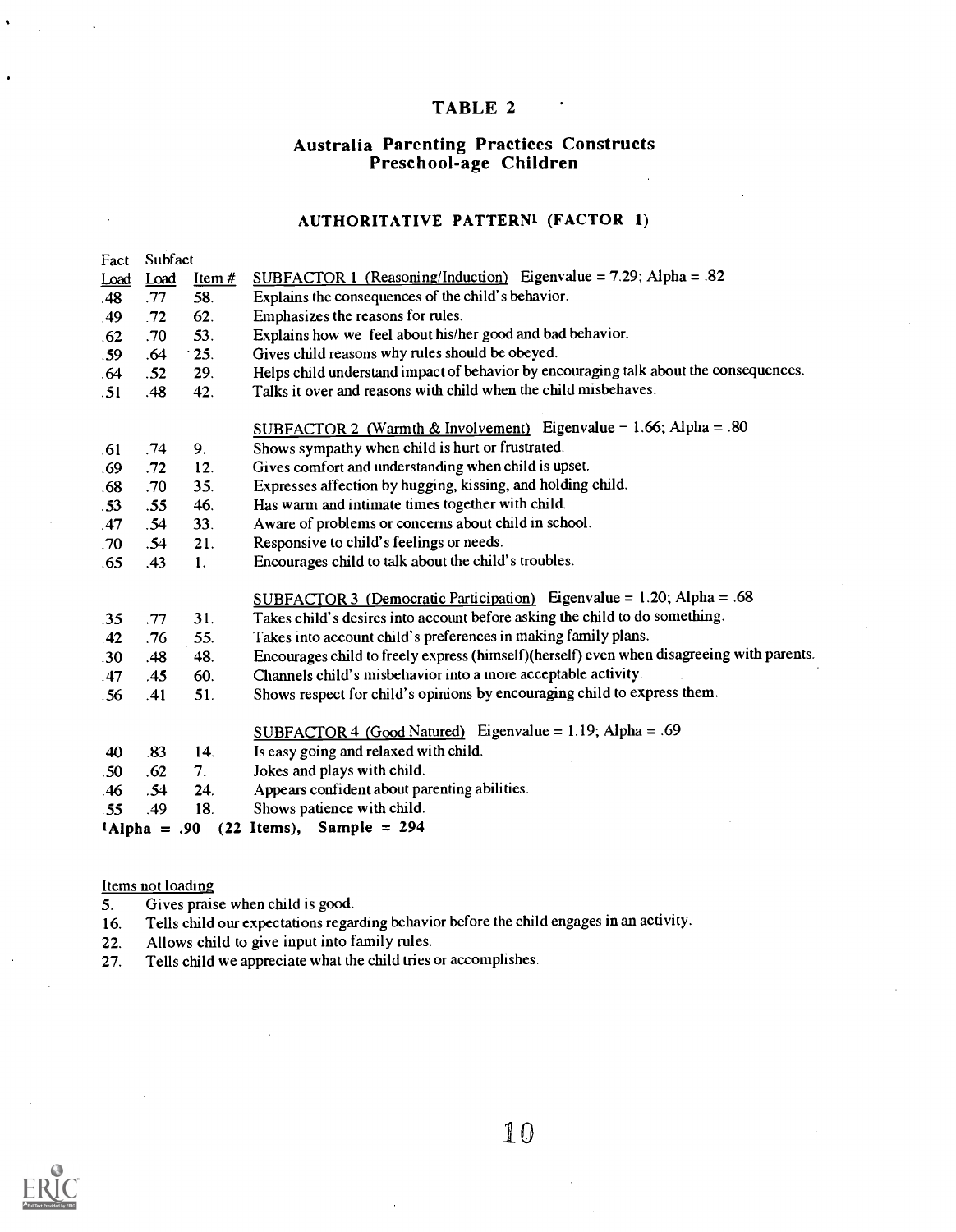### TABLE 2

# Australia Parenting Practices Constructs Preschool-age Children

#### AUTHORITATIVE PATTERN' (FACTOR 1)

| Fact             | Subfact         |                |                                                                                           |
|------------------|-----------------|----------------|-------------------------------------------------------------------------------------------|
| Load             | Load            | $Item #$       | SUBFACTOR 1 (Reasoning/Induction) Eigenvalue = $7.29$ ; Alpha = .82                       |
| .48              | .77             | 58.            | Explains the consequences of the child's behavior.                                        |
| .49              | .72             | 62.            | Emphasizes the reasons for rules.                                                         |
| .62              | .70             | 53.            | Explains how we feel about his/her good and bad behavior.                                 |
| .59              | .64             | $\cdot$ 25.    | Gives child reasons why rules should be obeyed.                                           |
| .64              | .52             | 29.            | Helps child understand impact of behavior by encouraging talk about the consequences.     |
| .51              | .48             | 42.            | Talks it over and reasons with child when the child misbehaves.                           |
|                  |                 |                | SUBFACTOR 2 (Warmth & Involvement) Eigenvalue = $1.66$ ; Alpha = .80                      |
| .61              | .74             | 9.             | Shows sympathy when child is hurt or frustrated.                                          |
| .69              | .72             | 12.            | Gives comfort and understanding when child is upset.                                      |
| .68              | .70             | 35.            | Expresses affection by hugging, kissing, and holding child.                               |
| .53              | .55             | 46.            | Has warm and intimate times together with child.                                          |
| .47              | .54             | 33.            | Aware of problems or concerns about child in school.                                      |
| .70              | .54             | 21.            | Responsive to child's feelings or needs.                                                  |
| .65              | .43             | $\mathbf{1}$ . | Encourages child to talk about the child's troubles.                                      |
|                  |                 |                | SUBFACTOR 3 (Democratic Participation) Eigenvalue = $1.20$ ; Alpha = .68                  |
| .35              | .77             | 31.            | Takes child's desires into account before asking the child to do something.               |
| .42              | .76             | 55.            | Takes into account child's preferences in making family plans.                            |
| .30 <sub>0</sub> | .48             | 48.            | Encourages child to freely express (himself)(herself) even when disagreeing with parents. |
| .47              | .45             | 60.            | Channels child's misbehavior into a more acceptable activity.                             |
| .56              | .41             | 51.            | Shows respect for child's opinions by encouraging child to express them.                  |
|                  |                 |                | SUBFACTOR 4 (Good Natured) Eigenvalue = 1.19; Alpha = .69                                 |
| .40              | .83             | 14.            | Is easy going and relaxed with child.                                                     |
| .50              | .62             | 7.             | Jokes and plays with child.                                                               |
| .46              | .54             | 24.            | Appears confident about parenting abilities.                                              |
| .55              | .49             | 18.            | Shows patience with child.                                                                |
|                  | $1$ Alpha = .90 |                | $(22$ Items), Sample = 294                                                                |

#### Items not loading

- 5. Gives praise when child is good.<br>16. Tells child our expectations regar
- 16. Tells child our expectations regarding behavior before the child engages in an activity.
- 
- 22. Allows child to give input into family rules.<br>27. Tells child we appreciate what the child tries Tells child we appreciate what the child tries or accomplishes.

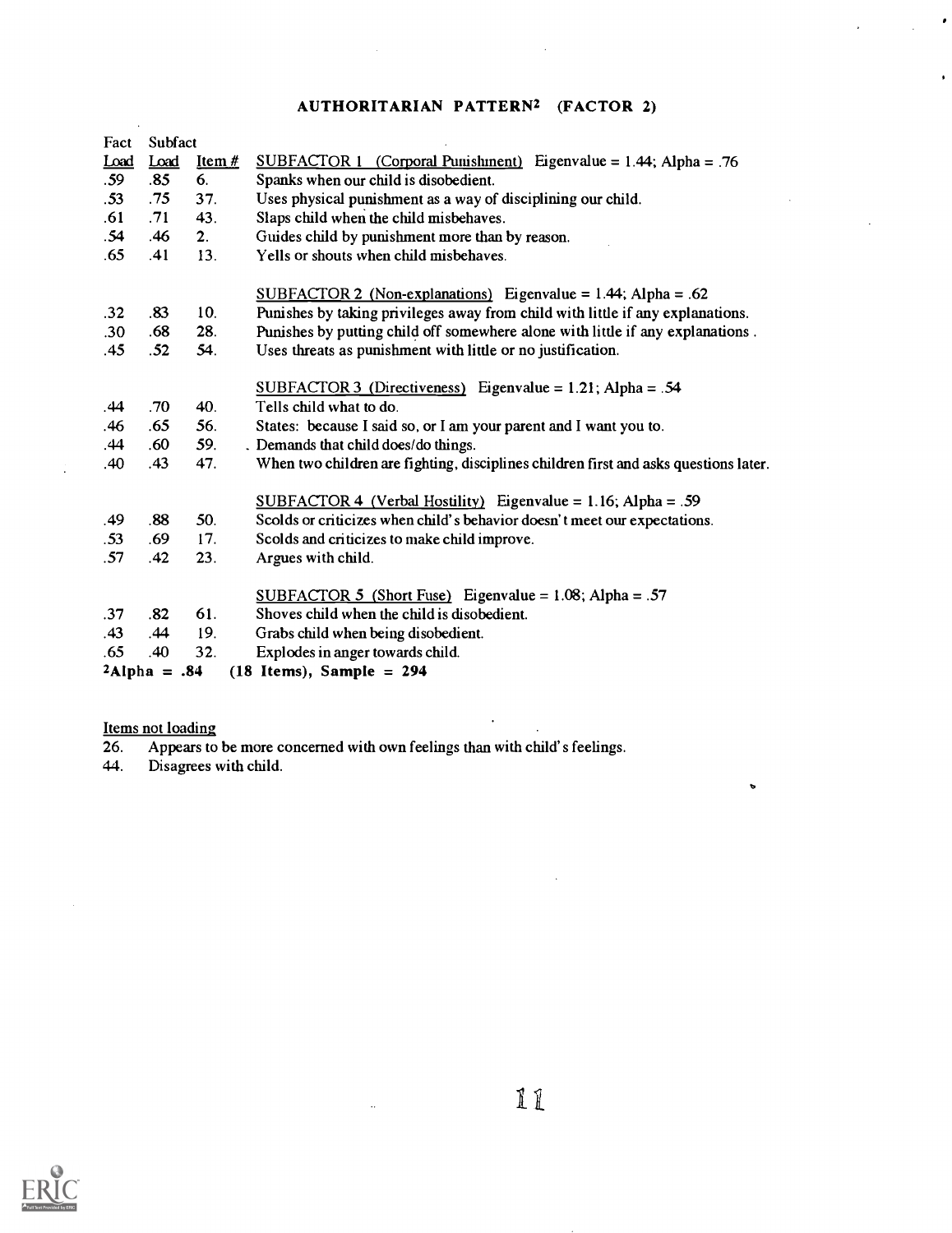# AUTHORITARIAN PATTERN2 (FACTOR 2)

 $\bullet$ 

l,

 $\bullet$ 

| Fact | Subfact         |          |                                                                                      |
|------|-----------------|----------|--------------------------------------------------------------------------------------|
| Load | Load            | Item $#$ | <u>SUBFACTOR 1 (Corporal Punishment)</u> Eigenvalue = $1.44$ ; Alpha = .76           |
| .59  | .85             | 6.       | Spanks when our child is disobedient.                                                |
| .53  | .75             | 37.      | Uses physical punishment as a way of disciplining our child.                         |
| .61  | .71             | 43.      | Slaps child when the child misbehaves.                                               |
| .54  | .46             | 2.       | Guides child by punishment more than by reason.                                      |
| .65  | .41             | 13.      | Yells or shouts when child misbehaves.                                               |
|      |                 |          | SUBFACTOR 2 (Non-explanations) Eigenvalue = $1.44$ ; Alpha = .62                     |
| .32  | .83             | 10.      | Punishes by taking privileges away from child with little if any explanations.       |
| .30  | .68             | 28.      | Punishes by putting child off somewhere alone with little if any explanations.       |
| .45  | .52             | 54.      | Uses threats as punishment with little or no justification.                          |
|      |                 |          | SUBFACTOR 3 (Directiveness) Eigenvalue = $1.21$ ; Alpha = .54                        |
| .44  | .70             | 40.      | Tells child what to do.                                                              |
| .46  | .65             | 56.      | States: because I said so, or I am your parent and I want you to.                    |
| .44  | .60             | 59.      | . Demands that child does/do things.                                                 |
| .40  | .43             | 47.      | When two children are fighting, disciplines children first and asks questions later. |
|      |                 |          | SUBFACTOR 4 (Verbal Hostility) Eigenvalue = 1.16; Alpha = .59                        |
| .49  | .88             | 50.      | Scolds or criticizes when child's behavior doesn't meet our expectations.            |
| .53  | .69             | 17.      | Scolds and criticizes to make child improve.                                         |
| .57  | .42             | 23.      | Argues with child.                                                                   |
|      |                 |          | SUBFACTOR 5 (Short Fuse) Eigenvalue = $1.08$ ; Alpha = .57                           |
| .37  | .82             | 61.      | Shoves child when the child is disobedient.                                          |
| .43  | .44             | 19.      | Grabs child when being disobedient.                                                  |
| .65  | .40             | 32.      | Explodes in anger towards child.                                                     |
|      | $2$ Alpha = .84 |          | $(18$ Items), Sample = 294                                                           |
|      |                 |          |                                                                                      |

Items not loading<br>26. Appears to

26. Appears to be more concerned with own feelings than with child's feelings.

 $\bar{\mathcal{A}}$ 

44. Disagrees with child.



 $\mathbbm{1}$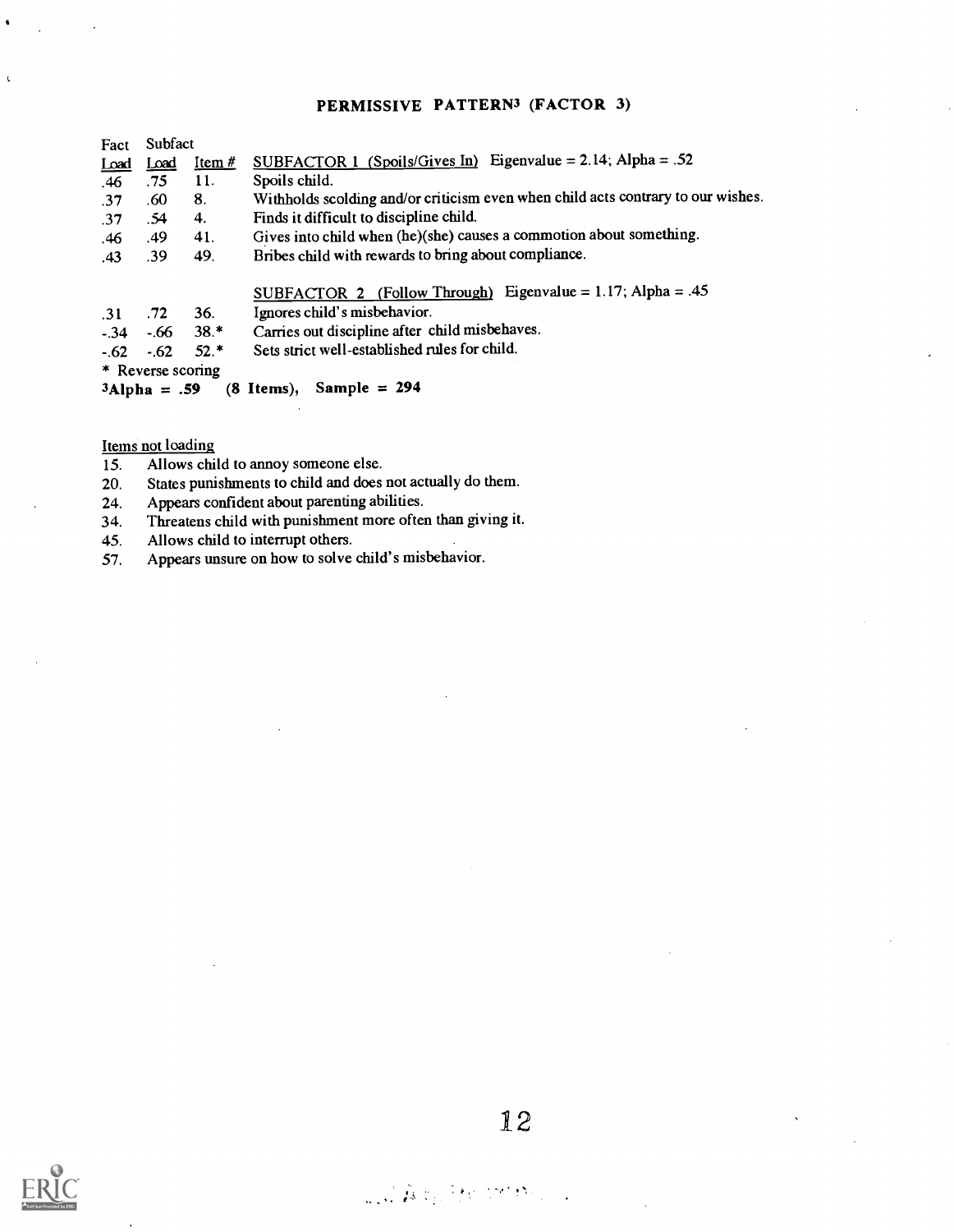#### PERMISSIVE PATTERN<sup>3</sup> (FACTOR 3)

| Fact       | Subfact               |            |                                                                                  |  |  |
|------------|-----------------------|------------|----------------------------------------------------------------------------------|--|--|
| Load       | Load                  | Item $#$   | SUBFACTOR 1 (Spoils/Gives In) Eigenvalue = 2.14; Alpha = .52                     |  |  |
| .46        | .75                   | 11.        | Spoils child.                                                                    |  |  |
| .37        | .60                   | 8.         | Withholds scolding and/or criticism even when child acts contrary to our wishes. |  |  |
| .37        | .54                   | 4.         | Finds it difficult to discipline child.                                          |  |  |
| .46        | .49                   | 41.        | Gives into child when (he)(she) causes a commotion about something.              |  |  |
| .43        | .39                   | 49.        | Bribes child with rewards to bring about compliance.                             |  |  |
|            |                       |            | SUBFACTOR 2 (Follow Through) Eigenvalue = 1.17; Alpha = .45                      |  |  |
| .31        | .72                   | <b>36.</b> | Ignores child's misbehavior.                                                     |  |  |
|            | $-.34-.66.38.*$       |            | Carries out discipline after child misbehaves.                                   |  |  |
| $-.62-.62$ |                       | $52.*$     | Sets strict well-established rules for child.                                    |  |  |
|            | * Reverse scoring     |            |                                                                                  |  |  |
|            | $3\text{Alpha} = .59$ |            | Sample = $294$<br>$(8$ Items),                                                   |  |  |

Items not loading

 $\overline{\mathbf{C}}$ 

- 
- 15. Allows child to annoy someone else.<br>20. States punishments to child and does 20. States punishments to child and does not actually do them.<br>24. Appears confident about parenting abilities.
- 24. Appears confident about parenting abilities.<br>34. Threatens child with punishment more ofter
- 34. Threatens child with punishment more often than giving it.<br>45. Allows child to interrupt others.
- 45. Allows child to interrupt others.<br>57. Appears unsure on how to solve
- Appears unsure on how to solve child's misbehavior.

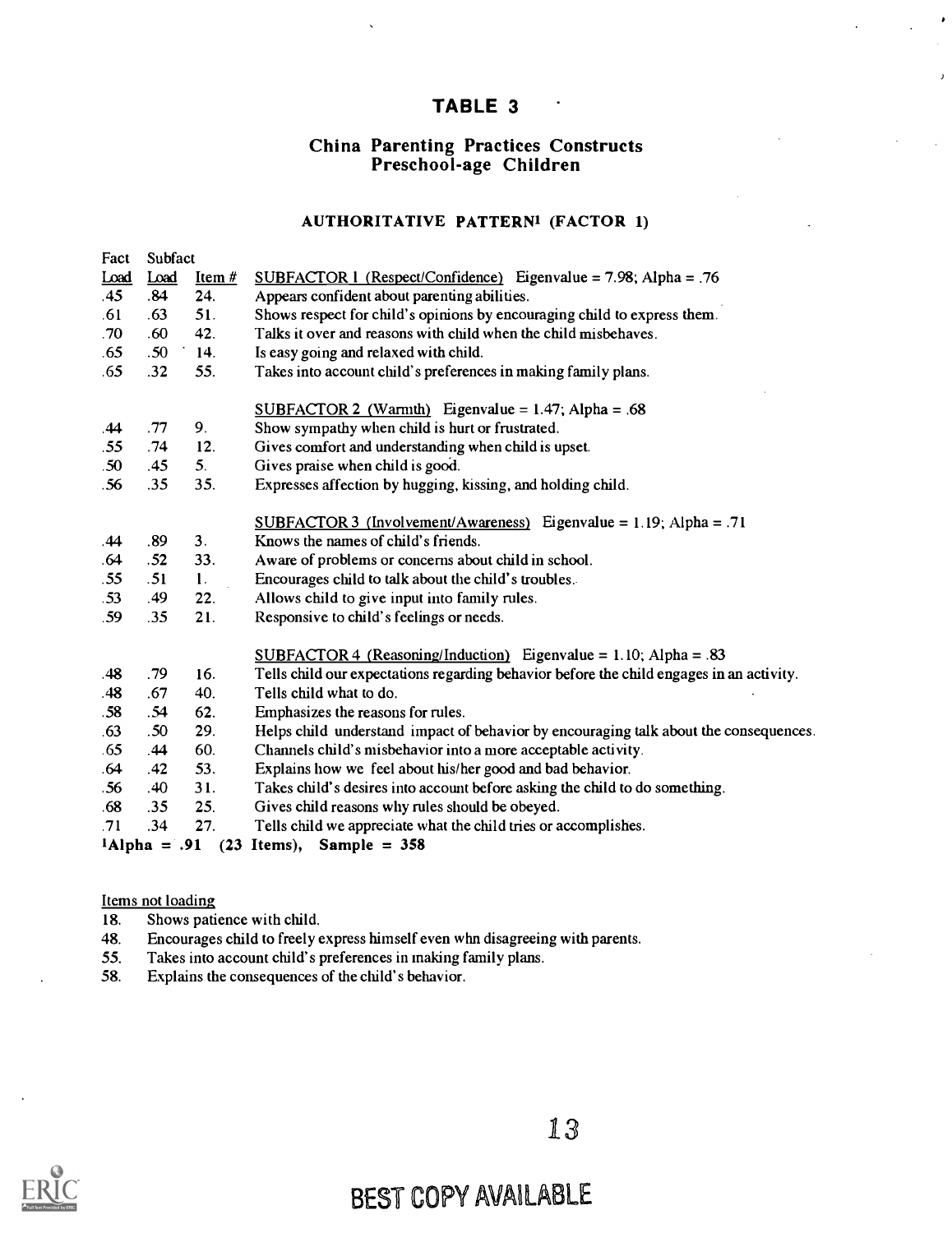### TABLE 3

# China Parenting Practices Constructs Preschool-age Children

#### AUTHORITATIVE PATTERN' (FACTOR 1)

| Fact             | Subfact          |                |                                                                                          |
|------------------|------------------|----------------|------------------------------------------------------------------------------------------|
| Load             | Load             | Item $#$       | $SUBFACTOR$ 1 (Respect/Confidence) Eigenvalue = 7.98; Alpha = .76                        |
| .45              | .84              | 24.            | Appears confident about parenting abilities.                                             |
| .61              | .63              | 51.            | Shows respect for child's opinions by encouraging child to express them.                 |
| .70 <sub>1</sub> | .60              | 42.            | Talks it over and reasons with child when the child misbehaves.                          |
| .65              | .50              | 14.            | Is easy going and relaxed with child.                                                    |
| .65              | .32              | 55.            | Takes into account child's preferences in making family plans.                           |
|                  |                  |                | SUBFACTOR 2 (Warmth) Eigenvalue = $1.47$ ; Alpha = .68                                   |
| .44              | .77              | 9.             | Show sympathy when child is hurt or frustrated.                                          |
| .55              | .74              | 12.            | Gives comfort and understanding when child is upset.                                     |
| .50              | .45              | 5.             | Gives praise when child is good.                                                         |
| .56              | .35              | 35.            | Expresses affection by hugging, kissing, and holding child.                              |
|                  |                  |                | <u>SUBFACTOR 3 (Involvement/Awareness)</u> Eigenvalue = 1.19; Alpha = .71                |
| .44              | .89              | 3.             | Knows the names of child's friends.                                                      |
| .64              | .52              | 33.            | Aware of problems or concerns about child in school.                                     |
| .55              | .51              | $\mathbf{1}$ . | Encourages child to talk about the child's troubles.                                     |
| .53              | .49              | 22.            | Allows child to give input into family rules.                                            |
| .59              | .35              | 21.            | Responsive to child's feelings or needs.                                                 |
|                  |                  |                | $SUBFACTOR 4 (Reasoning/Induction)$ Eigenvalue = 1.10; Alpha = .83                       |
| .48              | .79              | 16.            | Tells child our expectations regarding behavior before the child engages in an activity. |
| .48              | .67              | 40.            | Tells child what to do.                                                                  |
| .58              | .54              | 62.            | Emphasizes the reasons for rules.                                                        |
| .63              | .50 <sub>1</sub> | 29.            | Helps child understand impact of behavior by encouraging talk about the consequences.    |
| .65              | .44              | 60.            | Channels child's misbehavior into a more acceptable activity.                            |
| .64              | .42              | 53.            | Explains how we feel about his/her good and bad behavior.                                |
| .56              | .40              | 31.            | Takes child's desires into account before asking the child to do something.              |
| .68              | .35              | 25.            | Gives child reasons why rules should be obeyed.                                          |
| .71              | .34              | 27.            | Tells child we appreciate what the child tries or accomplishes.                          |
|                  |                  |                | $1$ Alpha = .91 (23 Items), Sample = 358                                                 |

#### Items not loading

- 18. Shows patience with child.
- 48. Encourages child to freely express himself even whn disagreeing with parents.
- 55. Takes into account child's preferences in making family plans.
- 58. Explains the consequences of the child's behavior.

13

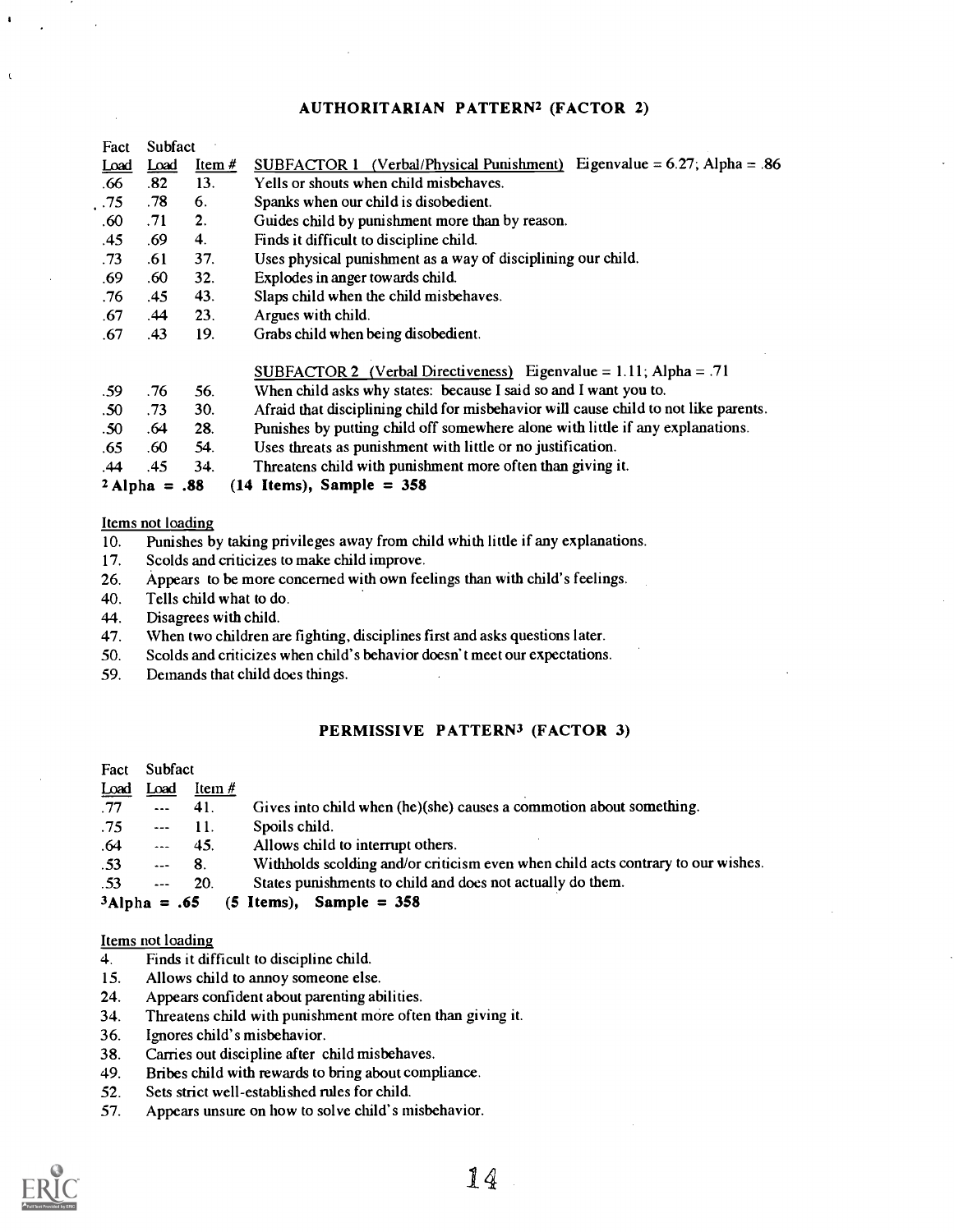#### AUTHORITARIAN PATTERN2 (FACTOR 2)

| Fact             | Subfact         |          |                                                                                      |  |
|------------------|-----------------|----------|--------------------------------------------------------------------------------------|--|
| Load             | Load            | Item $#$ | SUBFACTOR 1 (Verbal/Physical Punishment) Eigenvalue = $6.27$ ; Alpha = .86           |  |
| .66              | .82             | 13.      | Yells or shouts when child misbehaves.                                               |  |
| .75              | .78             | 6.       | Spanks when our child is disobedient.                                                |  |
| .60              | .71             | 2.       | Guides child by punishment more than by reason.                                      |  |
| .45              | .69             | 4.       | Finds it difficult to discipline child.                                              |  |
| .73              | .61             | 37.      | Uses physical punishment as a way of disciplining our child.                         |  |
| .69              | .60             | 32.      | Explodes in anger towards child.                                                     |  |
| .76              | .45             | 43.      | Slaps child when the child misbehaves.                                               |  |
| .67              | .44             | 23.      | Argues with child.                                                                   |  |
| .67              | .43             | 19.      | Grabs child when being disobedient.                                                  |  |
|                  |                 |          | SUBFACTOR 2 (Verbal Directiveness) Eigenvalue = $1.11$ ; Alpha = .71                 |  |
| .59              | .76             | 56.      | When child asks why states: because I said so and I want you to.                     |  |
| .50              | .73             | 30.      | Afraid that disciplining child for misbehavior will cause child to not like parents. |  |
| .50 <sub>1</sub> | .64             | 28.      | Punishes by putting child off somewhere alone with little if any explanations.       |  |
| .65              | .60             | 54.      | Uses threats as punishment with little or no justification.                          |  |
| .44              | .45             | 34.      | Threatens child with punishment more often than giving it.                           |  |
|                  | $2$ Alpha = .88 |          | $(14$ Items), Sample = 358                                                           |  |

#### Items not loading

 $\mathbf{r}$ 

- 10. Punishes by taking privileges away from child whith little if any explanations.
- 17. Scolds and criticizes to make child improve.
- 26. Appears to be more concerned with own feelings than with child's feelings.
- 40. Tells child what to do.
- 44. Disagrees with child.
- 47. When two children are fighting, disciplines first and asks questions later.
- 50. Scolds and criticizes when child's behavior doesn't meet our expectations.
- 59. Demands that child does things.

#### PERMISSIVE PATTERN<sup>3</sup> (FACTOR 3)

| Fact Subfact    |               |                          |                                                                                  |
|-----------------|---------------|--------------------------|----------------------------------------------------------------------------------|
| Load            | Load          | Item $#$                 |                                                                                  |
| .77             |               | $\cdots$ 41.             | Gives into child when (he)(she) causes a commotion about something.              |
| .75             |               | $\sim$ $\sim$ $\sim$ 11. | Spoils child.                                                                    |
| .64             |               | $- 45.$                  | Allows child to interrupt others.                                                |
| .53             | $\sim$ $-$ 8. |                          | Withholds scolding and/or criticism even when child acts contrary to our wishes. |
| .53             |               | $-20.$                   | States punishments to child and does not actually do them.                       |
| $3$ Alpha = .65 |               |                          | $(5$ Items), Sample = 358                                                        |

#### Items not loading

- 4. Finds it difficult to discipline child.
- 15. Allows child to annoy someone else.
- 24. Appears confident about parenting abilities.
- 34. Threatens child with punishment more often than giving it.
- 36. Ignores child's misbehavior.
- 38. Carries out discipline after child misbehaves.
- 49. Bribes child with rewards to bring about compliance.
- 52. Sets strict well-established rules for child.
- 57. Appears unsure on how to solve child's misbehavior.

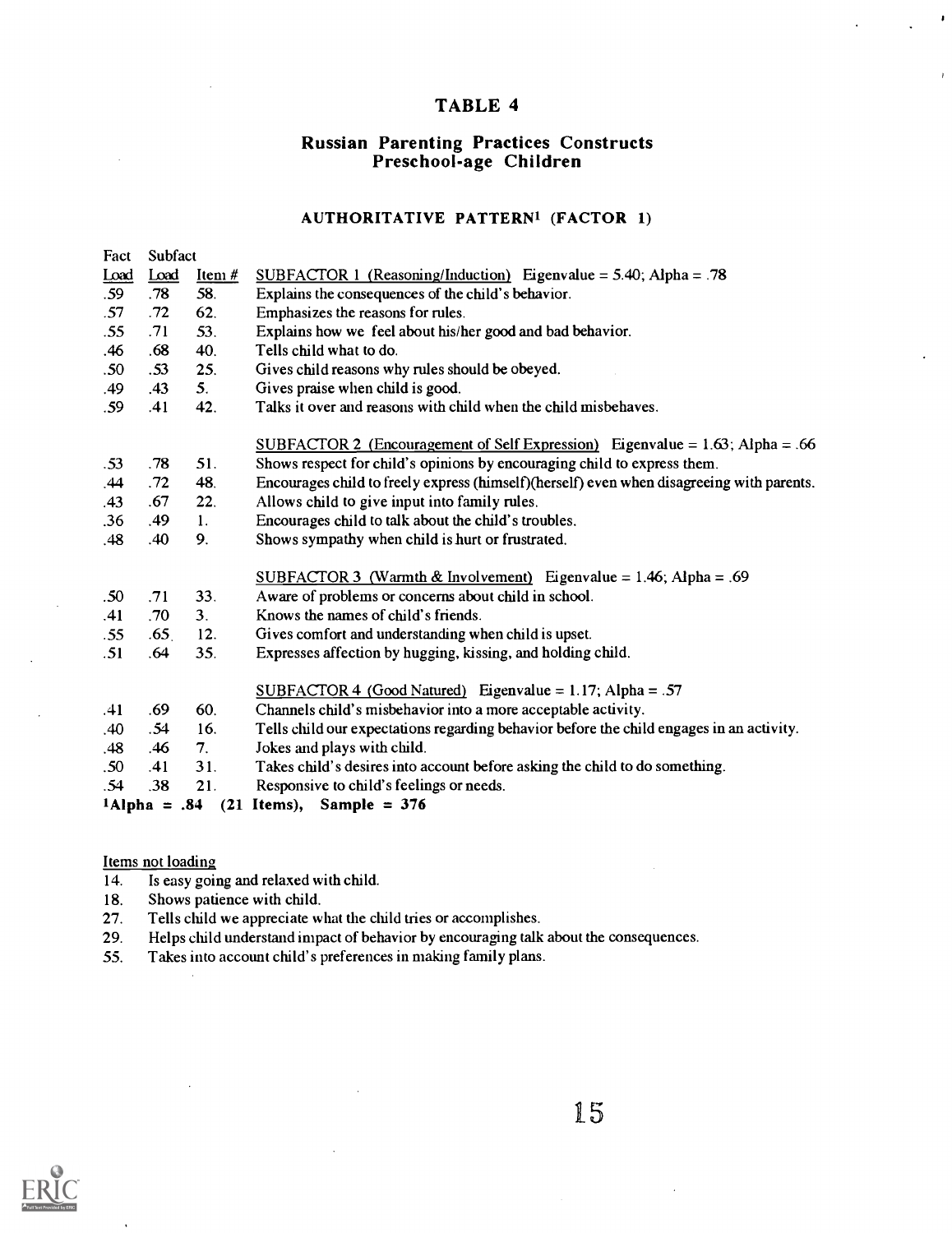### TABLE 4

 $\pmb{\cdot}$ 

# Russian Parenting Practices Constructs Preschool-age Children

#### AUTHORITATIVE PATTERN' (FACTOR 1)

| Fact    | Subfact          |                |                                                                                           |
|---------|------------------|----------------|-------------------------------------------------------------------------------------------|
| $L0$ ad | Load             | Item $#$       | SUBFACTOR 1 (Reasoning/Induction) Eigenvalue = $5.40$ ; Alpha = .78                       |
| .59     | .78              | 58.            | Explains the consequences of the child's behavior.                                        |
| .57     | .72              | 62.            | Emphasizes the reasons for rules.                                                         |
| .55     | .71              | 53.            | Explains how we feel about his/her good and bad behavior.                                 |
| .46     | .68              | 40.            | Tells child what to do.                                                                   |
| .50     | .53              | 25.            | Gives child reasons why rules should be obeyed.                                           |
| .49     | .43              | 5.             | Gives praise when child is good.                                                          |
| .59     | .41              | 42.            | Talks it over and reasons with child when the child misbehaves.                           |
|         |                  |                | SUBFACTOR 2 (Encouragement of Self Expression) Eigenvalue = $1.63$ ; Alpha = .66          |
| .53     | .78              | 51.            | Shows respect for child's opinions by encouraging child to express them.                  |
| .44     | .72              | 48.            | Encourages child to freely express (himself)(herself) even when disagreeing with parents. |
| .43     | .67              | 22.            | Allows child to give input into family rules.                                             |
| .36     | .49              | 1.             | Encourages child to talk about the child's troubles.                                      |
| .48     | .40              | 9.             | Shows sympathy when child is hurt or frustrated.                                          |
|         |                  |                | SUBFACTOR 3 (Warmth & Involvement) Eigenvalue = $1.46$ ; Alpha = .69                      |
| .50     | .71              | 33.            | Aware of problems or concerns about child in school.                                      |
| .41     | .70              | 3 <sub>1</sub> | Knows the names of child's friends.                                                       |
| .55     | .65 <sub>1</sub> | 12.            | Gives comfort and understanding when child is upset.                                      |
| .51     | .64              | 35.            | Expresses affection by hugging, kissing, and holding child.                               |
|         |                  |                |                                                                                           |
|         |                  |                | $SUBFACTOR 4 (Good Natural) Eigenvalue = 1.17; Alpha = .57$                               |
| .41     | .69              | 60.            | Channels child's misbehavior into a more acceptable activity.                             |
| .40     | .54              | 16.            | Tells child our expectations regarding behavior before the child engages in an activity.  |
| .48     | .46              | 7.             | Jokes and plays with child.                                                               |
| .50     | .41              | 31.            | Takes child's desires into account before asking the child to do something.               |
| .54     | .38              | 21.            | Responsive to child's feelings or needs.                                                  |
|         | $1$ Alpha = .84  |                | $(21$ Items), Sample = 376                                                                |

Items not loading

- 14. Is easy going and relaxed with child.<br>18. Shows patience with child.
- Shows patience with child.

 $\mathcal{L}$ 

- 27. Tells child we appreciate what the child tries or accomplishes.
- 29. Helps child understand impact of behavior by encouraging talk about the consequences.
- 55. Takes into account child's preferences in making family plans.

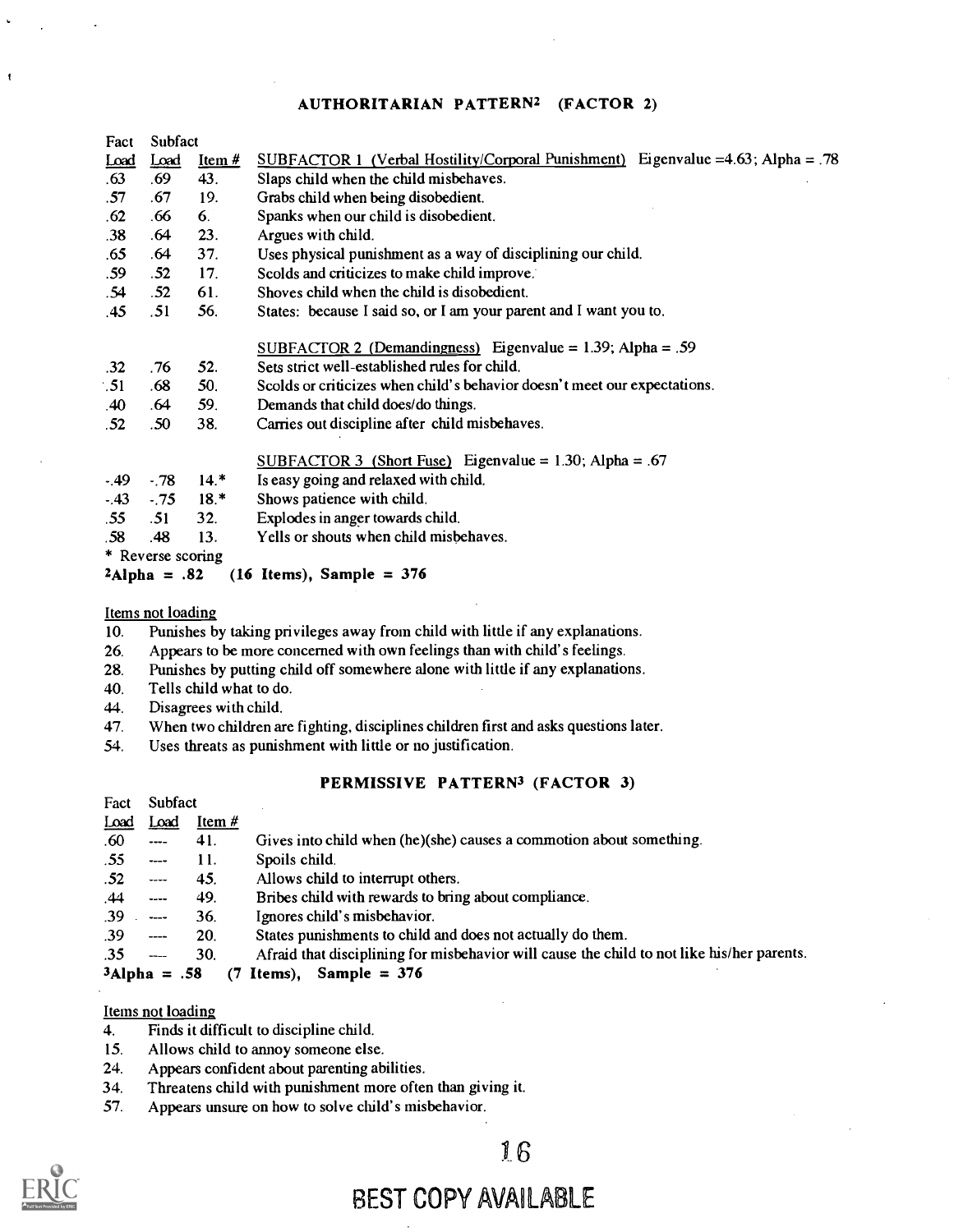#### AUTHORITARIAN PATTERN2 (FACTOR 2)

| Fact  | Subfact                                        |          |                                                                                          |  |  |
|-------|------------------------------------------------|----------|------------------------------------------------------------------------------------------|--|--|
| Load  | Load                                           | Item $#$ | <u>SUBFACTOR 1 (Verbal Hostility/Corporal Punishment)</u> Eigenvalue = 4.63; Alpha = .78 |  |  |
| .63   | .69                                            | 43.      | Slaps child when the child misbehaves.                                                   |  |  |
| .57   | .67                                            | 19.      | Grabs child when being disobedient.                                                      |  |  |
| .62   | .66                                            | 6.       | Spanks when our child is disobedient.                                                    |  |  |
| .38   | .64                                            | 23.      | Argues with child.                                                                       |  |  |
| .65   | .64                                            | 37.      | Uses physical punishment as a way of disciplining our child.                             |  |  |
| .59   | .52                                            | 17.      | Scolds and criticizes to make child improve.                                             |  |  |
| .54   | .52                                            | 61.      | Shoves child when the child is disobedient.                                              |  |  |
| .45   | .51                                            | 56.      | States: because I said so, or I am your parent and I want you to.                        |  |  |
|       |                                                |          |                                                                                          |  |  |
|       |                                                |          | SUBFACTOR 2 (Demandingness) Eigenvalue = $1.39$ ; Alpha = .59                            |  |  |
| .32   | .76                                            | 52.      | Sets strict well-established rules for child.                                            |  |  |
| .51   | .68                                            | 50.      | Scolds or criticizes when child's behavior doesn't meet our expectations.                |  |  |
| .40   | .64                                            | 59.      | Demands that child does/do things.                                                       |  |  |
| .52   | .50                                            | 38.      | Carries out discipline after child misbehaves.                                           |  |  |
|       |                                                |          |                                                                                          |  |  |
|       |                                                |          | <u>SUBFACTOR 3 (Short Fuse)</u> Eigenvalue = $1.30$ ; Alpha = .67                        |  |  |
| $-49$ | $-.78$                                         | $14.*$   | Is easy going and relaxed with child.                                                    |  |  |
| $-43$ | $-75$                                          | $18.*$   | Shows patience with child.                                                               |  |  |
| .55   | .51                                            | 32.      | Explodes in anger towards child.                                                         |  |  |
| .58   | .48                                            | 13.      | Yells or shouts when child misbehaves.                                                   |  |  |
|       | * Reverse scoring                              |          |                                                                                          |  |  |
|       | $(16$ Items), Sample = 376<br>$^2$ Alpha = .82 |          |                                                                                          |  |  |
|       |                                                |          |                                                                                          |  |  |

Items not loading

- 10. Punishes by taking privileges away from child with little if any explanations.
- 26. Appears to be more concerned with own feelings than with child's feelings.
- 28. Punishes by putting child off somewhere alone with little if any explanations.
- 40. Tells child what to do.
- 44. Disagrees with child.
- 47. When two children are fighting, disciplines children first and asks questions later.
- 54. Uses threats as punishment with little or no justification.

#### PERMISSIVE PATTERN<sup>3</sup> (FACTOR 3)

| Fact                  | Subfact                                                                                                                       |          |                                                                     |  |  |  |  |
|-----------------------|-------------------------------------------------------------------------------------------------------------------------------|----------|---------------------------------------------------------------------|--|--|--|--|
| Load                  | Load                                                                                                                          | Item $#$ |                                                                     |  |  |  |  |
| .60                   |                                                                                                                               | 41.      | Gives into child when (he)(she) causes a commotion about something. |  |  |  |  |
| .55                   | $---$                                                                                                                         | 11.      | Spoils child.                                                       |  |  |  |  |
| .52                   | $---$                                                                                                                         | 45.      | Allows child to interrupt others.                                   |  |  |  |  |
| .44                   | $\frac{1}{2}$                                                                                                                 | 49.      | Bribes child with rewards to bring about compliance.                |  |  |  |  |
| .39                   | $\frac{1}{2}$                                                                                                                 | 36.      | Ignores child's misbehavior.                                        |  |  |  |  |
| .39                   | States punishments to child and does not actually do them.<br>20.<br>$\sim$ $\sim$ $\sim$                                     |          |                                                                     |  |  |  |  |
| .35                   | Afraid that disciplining for misbehavior will cause the child to not like his/her parents.<br>30.<br>$\overline{\phantom{a}}$ |          |                                                                     |  |  |  |  |
| $3$ Alpha = .58<br>17 |                                                                                                                               |          | Sample = $376$<br>Items),                                           |  |  |  |  |

#### Items not loading

- 4. Finds it difficult to discipline child.
- 15. Allows child to annoy someone else.
- 24. Appears confident about parenting abilities.
- 34. Threatens child with punishment more often than giving it.
- 57. Appears unsure on how to solve child's misbehavior.



 $\mathbf{I}$ 

# 16

# BEST COPY AVAILABLE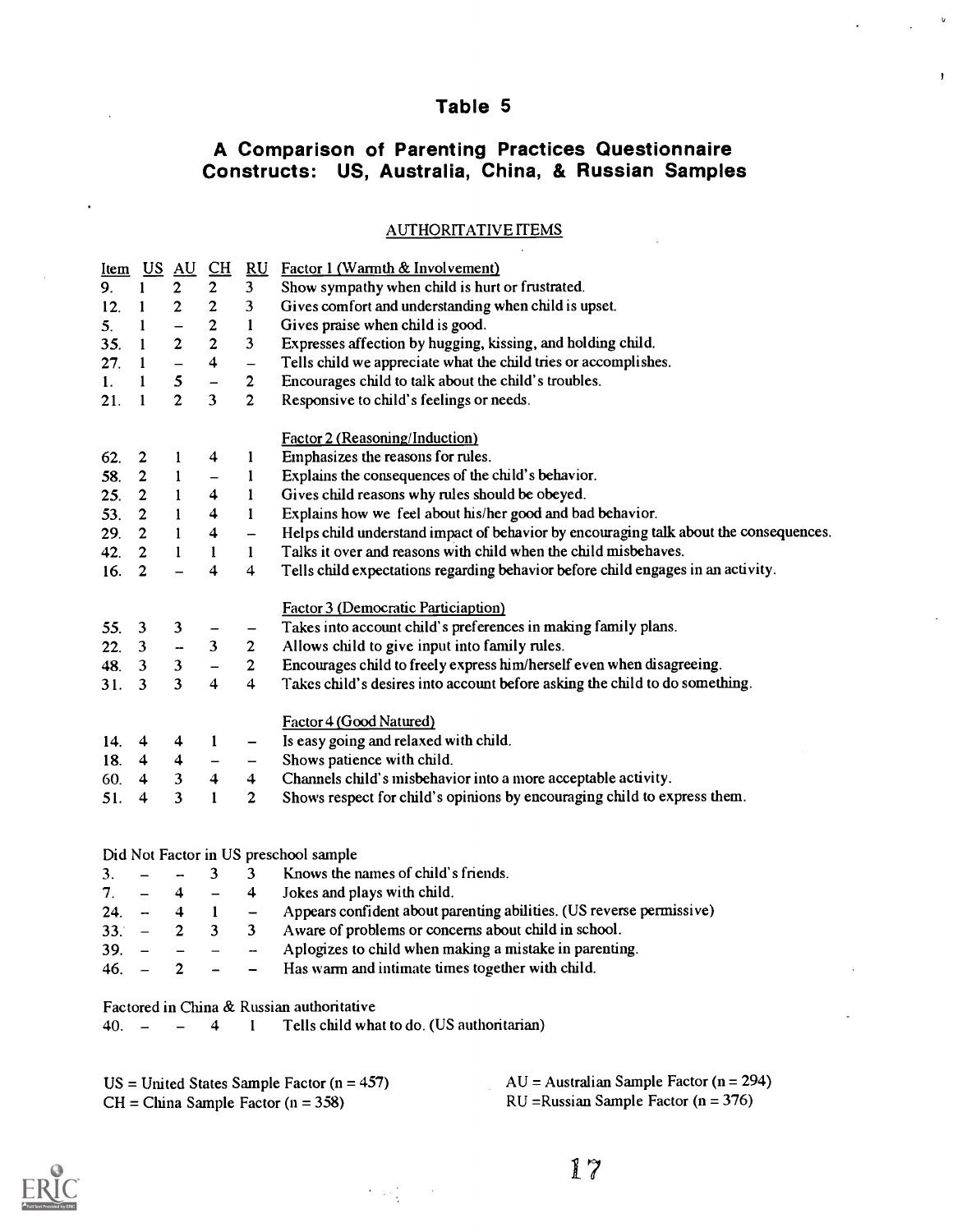## Table 5

 $\mathsf{u}$ 

 $\ddot{\phantom{1}}$ 

## A Comparison of Parenting Practices Questionnaire Constructs: US, Australia, China, & Russian Samples

#### AUTHORITATIVE ITEMS

| Item US AU |                                                      |                          | $\underline{\text{CH}}$        |                              | RU Factor 1 (Warmth & Involvement)                                                    |  |  |  |  |  |
|------------|------------------------------------------------------|--------------------------|--------------------------------|------------------------------|---------------------------------------------------------------------------------------|--|--|--|--|--|
| 9.         | $\mathbf{1}$                                         | $\mathbf{2}$             | $\overline{2}$                 | 3 <sup>1</sup>               | Show sympathy when child is hurt or frustrated.                                       |  |  |  |  |  |
| 12.        | 1                                                    | $\boldsymbol{2}$         | $\overline{2}$                 | 3                            | Gives comfort and understanding when child is upset.                                  |  |  |  |  |  |
| 5.         | 1                                                    | $\overline{\phantom{0}}$ | $\mathbf{2}$                   | $\mathbf{1}$                 | Gives praise when child is good.                                                      |  |  |  |  |  |
| 35.        | $\mathbf{1}$                                         | $\mathbf{2}$             | $\overline{2}$                 | 3                            | Expresses affection by hugging, kissing, and holding child.                           |  |  |  |  |  |
| 27.        | $\mathbf{1}$                                         |                          | $\overline{\mathbf{4}}$        | $\bar{\phantom{a}}$          | Tells child we appreciate what the child tries or accomplishes.                       |  |  |  |  |  |
| 1.         | $\mathbf{1}$                                         | 5                        | $\overline{\phantom{0}}$       | $\mathbf{2}$                 | Encourages child to talk about the child's troubles.                                  |  |  |  |  |  |
| 21.        | $\mathbf{1}$                                         | $\overline{2}$           | $\overline{3}$                 | $\overline{2}$               | Responsive to child's feelings or needs.                                              |  |  |  |  |  |
|            |                                                      |                          |                                |                              | Factor 2 (Reasoning/Induction)                                                        |  |  |  |  |  |
| 62.        | $\mathbf{2}$                                         | 1                        | 4                              | $\mathbf{I}$                 | Emphasizes the reasons for rules.                                                     |  |  |  |  |  |
| 58.        | $\mathbf{2}$                                         | 1                        | $\overline{\phantom{m}}$       | $\mathbf{I}$                 | Explains the consequences of the child's behavior.                                    |  |  |  |  |  |
| 25.        | $\overline{2}$                                       | $\mathbf{1}$             | 4                              | $\mathbf{1}$                 | Gives child reasons why rules should be obeyed.                                       |  |  |  |  |  |
| 53.        | $\overline{2}$                                       | $\mathbf{1}$             | $\overline{\mathbf{4}}$        | $\mathbf{1}$                 | Explains how we feel about his/her good and bad behavior.                             |  |  |  |  |  |
| 29.        | 2 <sup>1</sup>                                       | $\mathbf{1}$             | 4                              | $\bar{ }$                    | Helps child understand impact of behavior by encouraging talk about the consequences. |  |  |  |  |  |
| 42.        | 2 <sup>1</sup>                                       | $\mathbf{1}$             | 1                              | $\mathbf{1}$                 | Talks it over and reasons with child when the child misbehaves.                       |  |  |  |  |  |
| 16.        | $\overline{2}$                                       |                          | 4                              | $\overline{\mathbf{4}}$      | Tells child expectations regarding behavior before child engages in an activity.      |  |  |  |  |  |
|            |                                                      |                          |                                |                              |                                                                                       |  |  |  |  |  |
|            |                                                      |                          |                                |                              | Factor 3 (Democratic Particiaption)                                                   |  |  |  |  |  |
| 55.        | 3                                                    | 3                        | —                              |                              | Takes into account child's preferences in making family plans.                        |  |  |  |  |  |
| 22.        | $\mathbf{3}$                                         | $\overline{a}$           | 3                              | $\overline{2}$               | Allows child to give input into family rules.                                         |  |  |  |  |  |
| 48.        | 3                                                    | $\mathbf{3}$             | $\qquad \qquad -$              | $\overline{2}$               | Encourages child to freely express him/herself even when disagreeing.                 |  |  |  |  |  |
| 31.        | 3                                                    | $\mathbf{z}$             | $\overline{\mathbf{4}}$        | 4                            | Takes child's desires into account before asking the child to do something.           |  |  |  |  |  |
|            |                                                      |                          |                                |                              | Factor 4 (Good Natured)                                                               |  |  |  |  |  |
| 14.        | 4                                                    | 4                        | 1                              | $\overline{\phantom{0}}$     | Is easy going and relaxed with child.                                                 |  |  |  |  |  |
| 18.        | 4                                                    | 4                        |                                | $\qquad \qquad \blacksquare$ | Shows patience with child.                                                            |  |  |  |  |  |
| 60.        | 4                                                    | $\mathbf{3}$             | $\ddot{\mathbf{4}}$            | 4 <sup>1</sup>               | Channels child's misbehavior into a more acceptable activity.                         |  |  |  |  |  |
| 51.        | $\overline{4}$                                       | 3                        | $\mathbf{1}$                   | $\overline{2}$               | Shows respect for child's opinions by encouraging child to express them.              |  |  |  |  |  |
|            |                                                      |                          |                                |                              |                                                                                       |  |  |  |  |  |
|            |                                                      |                          |                                |                              |                                                                                       |  |  |  |  |  |
|            |                                                      |                          | 3                              | 3                            | Did Not Factor in US preschool sample<br>Knows the names of child's friends.          |  |  |  |  |  |
| 3.<br>7.   | $\overline{\phantom{0}}$<br>$\overline{\phantom{0}}$ | <br>4                    | $\frac{1}{2}$                  | $\overline{4}$               | Jokes and plays with child.                                                           |  |  |  |  |  |
|            |                                                      |                          |                                |                              | Appears confident about parenting abilities. (US reverse permissive)                  |  |  |  |  |  |
| 24.        | $\overline{\phantom{a}}$                             | 4                        | $\mathbf{1}$<br>3 <sup>7</sup> | $\qquad \qquad -$            |                                                                                       |  |  |  |  |  |
| 33.        | $\qquad \qquad =$                                    | $\overline{2}$           |                                | 3                            | Aware of problems or concerns about child in school.                                  |  |  |  |  |  |
| 39.        | $\overline{\phantom{0}}$                             | -                        |                                | $\rightarrow$                | Aplogizes to child when making a mistake in parenting.                                |  |  |  |  |  |
| 46.        |                                                      | $\mathbf{2}$             |                                |                              | Has warm and intimate times together with child.                                      |  |  |  |  |  |
|            |                                                      |                          |                                |                              | Factored in China & Russian authoritative                                             |  |  |  |  |  |
| 40.        | $\overline{\phantom{m}}$                             | $\overline{\phantom{0}}$ | 4                              | 1                            | Tells child what to do. (US authoritarian)                                            |  |  |  |  |  |
|            |                                                      |                          |                                |                              |                                                                                       |  |  |  |  |  |

 $US = United States Sample Factor (n = 457)$ <br>CH = China Sample Factor (n = 358) <br>AU = Australian Sample Factor (n = 294)<br>RU = Russian Sample Factor (n = 376)  $CH = China Sample Factor (n = 358)$ 

 $\mathcal{L}^{\text{max}}(\mathcal{L}^{\text{max}})$ 



17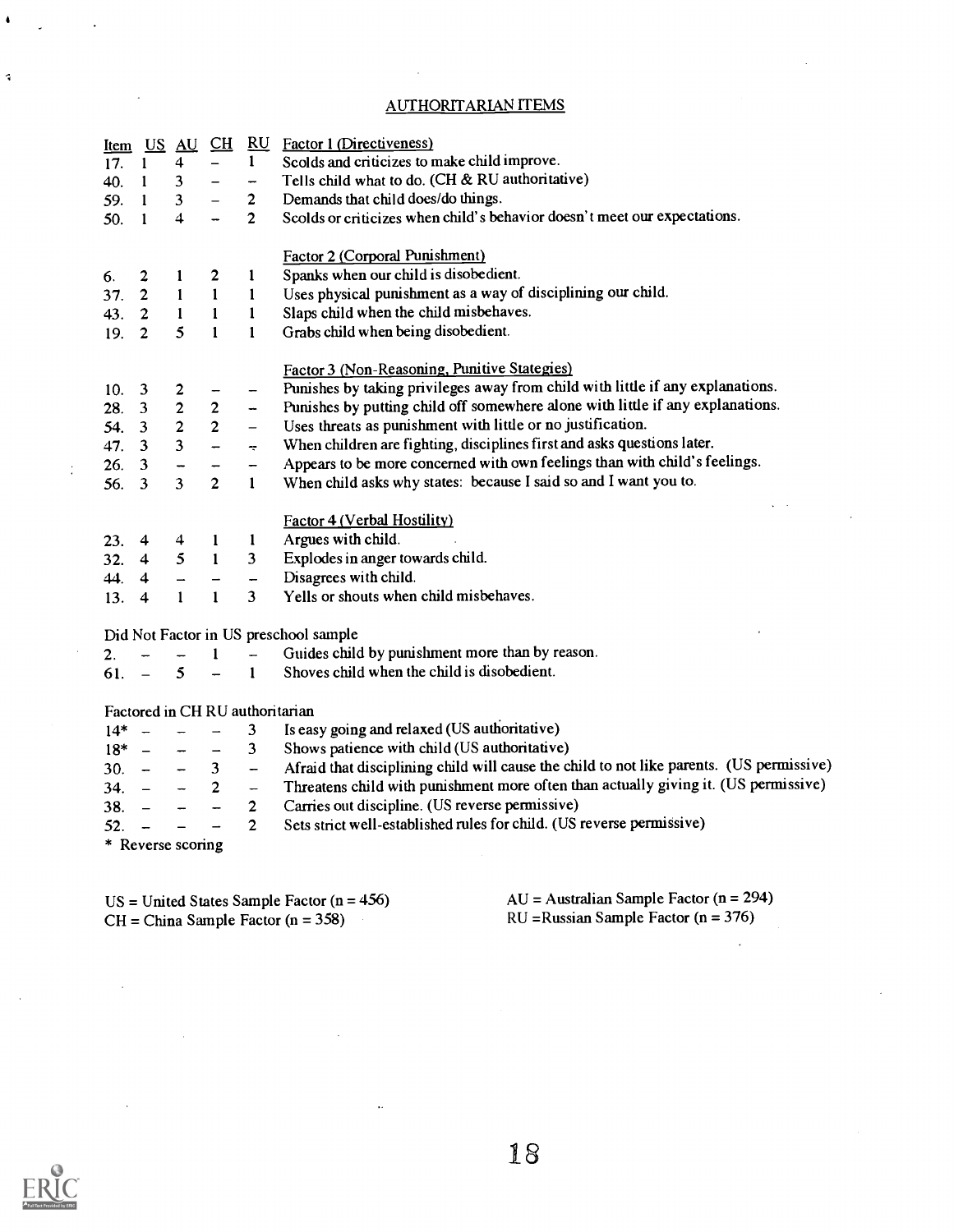#### AUTHORITARIAN ITEMS

 $\sim$ 

| <u>Item</u> | $U$                      | $\underline{AU}$        | $\underline{\text{CH}}$  |                          | <b>RU</b> Factor 1 (Directiveness)                                                       |
|-------------|--------------------------|-------------------------|--------------------------|--------------------------|------------------------------------------------------------------------------------------|
| 17.         | $\mathbf{1}$             | $\overline{\mathbf{4}}$ |                          | $\mathbf{1}$             | Scolds and criticizes to make child improve.                                             |
| 40.         | $\mathbf{1}$             | $\mathbf{3}$            |                          | -                        | Tells child what to do. (CH & RU authoritative)                                          |
| 59.         | $\mathbf{1}$             | 3 <sup>1</sup>          |                          | $\overline{2}$           | Demands that child does/do things.                                                       |
| 50.         | 1                        | 4                       |                          | $\overline{2}$           | Scolds or criticizes when child's behavior doesn't meet our expectations.                |
|             |                          |                         |                          |                          |                                                                                          |
|             |                          |                         |                          |                          | Factor 2 (Corporal Punishment)                                                           |
| 6.          | $\overline{\mathbf{c}}$  | 1                       | $\mathbf{2}$             | $\mathbf{I}$             | Spanks when our child is disobedient.                                                    |
| 37.         | $\overline{\mathbf{c}}$  | $\mathbf{1}$            | $\mathbf{1}$             | $\mathbf{1}$             | Uses physical punishment as a way of disciplining our child.                             |
| 43.         | $\overline{2}$           | $\mathbf{1}$            | $\mathbf{1}$             | $\mathbf{1}$             | Slaps child when the child misbehaves.                                                   |
| 19.         | 2 <sup>1</sup>           | 5                       | $\mathbf{1}$             | $\mathbf{1}$             | Grabs child when being disobedient.                                                      |
|             |                          |                         |                          |                          |                                                                                          |
|             |                          |                         |                          |                          | Factor 3 (Non-Reasoning, Punitive Stategies)                                             |
| 10.         | $\overline{\mathbf{3}}$  | $\overline{\mathbf{c}}$ |                          | $\overline{\phantom{0}}$ | Punishes by taking privileges away from child with little if any explanations.           |
| 28.         | $\overline{\mathbf{3}}$  | $\mathbf 2$             | $\mathbf 2$              | -                        | Punishes by putting child off somewhere alone with little if any explanations.           |
| 54.         | $\overline{\mathbf{3}}$  | $\overline{\mathbf{c}}$ | $\overline{2}$           | $\qquad \qquad -$        | Uses threats as punishment with little or no justification.                              |
| 47.         | $\overline{\mathbf{3}}$  | $\overline{\mathbf{3}}$ | $\overline{a}$           | ÷                        | When children are fighting, disciplines first and asks questions later.                  |
| 26.         | $\mathbf{3}$             |                         |                          | -                        | Appears to be more concerned with own feelings than with child's feelings.               |
| 56.         | -3                       | $\overline{3}$          | $\overline{2}$           | $\mathbf{1}$             | When child asks why states: because I said so and I want you to.                         |
|             |                          |                         |                          |                          |                                                                                          |
|             |                          |                         |                          |                          | Factor 4 (Verbal Hostility)                                                              |
| 23.         | 4                        | 4                       | 1                        | 1                        | Argues with child.                                                                       |
| 32.         | $\overline{4}$           | 5                       | $\blacksquare$           | $\overline{\mathbf{3}}$  | Explodes in anger towards child.                                                         |
| 44. 4       |                          |                         |                          |                          | Disagrees with child.                                                                    |
| 13.4        |                          | $\mathbf{1}$            | $\mathbf{1}$             | 3                        | Yells or shouts when child misbehaves.                                                   |
|             |                          |                         |                          |                          |                                                                                          |
|             |                          |                         |                          |                          | Did Not Factor in US preschool sample                                                    |
| 2.          |                          |                         | $\mathbf{1}$             | $\sim$                   | Guides child by punishment more than by reason.                                          |
| 61.         |                          | 5                       |                          | $1 -$                    | Shoves child when the child is disobedient.                                              |
|             |                          |                         |                          |                          |                                                                                          |
|             |                          |                         |                          |                          | Factored in CHRU authoritarian                                                           |
| $14*$       | $\overline{\phantom{a}}$ |                         |                          | 3                        | Is easy going and relaxed (US authoritative)                                             |
| $18^* -$    |                          |                         | $\overline{\phantom{0}}$ | 3                        | Shows patience with child (US authoritative)                                             |
| $30. -$     |                          |                         | $\mathbf{3}$             | $\overline{\phantom{0}}$ | Afraid that disciplining child will cause the child to not like parents. (US permissive) |
| 34.         |                          |                         | $\overline{2}$           | $\qquad \qquad -$        | Threatens child with punishment more often than actually giving it. (US permissive)      |
| 38.         |                          |                         |                          | $\mathbf{2}$             | Carries out discipline. (US reverse permissive)                                          |
| 52.         |                          |                         |                          | $\overline{2}$           | Sets strict well-established rules for child. (US reverse permissive)                    |
|             |                          | * Reverse scoring       |                          |                          |                                                                                          |
|             |                          |                         |                          |                          |                                                                                          |

 $US = United States Sample Factor (n = 456)$ <br>CH = China Sample Factor (n = 358)<br>AU = Australian Sample Factor (n = 376)<br>RU = Russian Sample Factor (n = 376)  $CH = China Sample Factor (n = 358)$ 

 $\hat{\mathcal{A}}$ 

 $\bar{\phantom{a}}$ 

 $\sim$ 

 $\sim$ 

 $\hat{\mathbf{z}}$ 

 $\frac{1}{2}$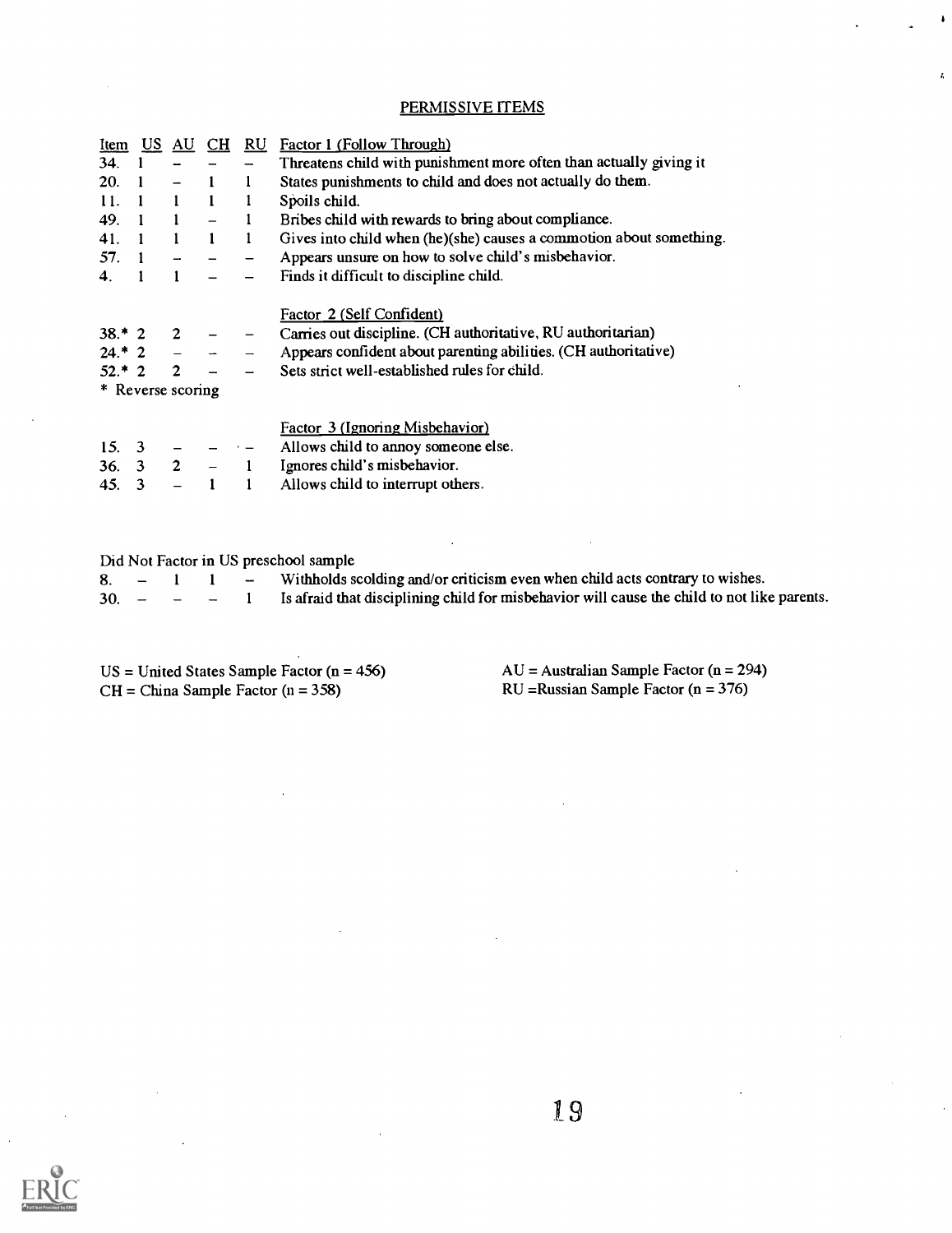#### PERMISSIVE ITEMS

| Item              | US. | AU             | <b>CH</b>    | RU. | Factor 1 (Follow Through)                                           |
|-------------------|-----|----------------|--------------|-----|---------------------------------------------------------------------|
| 34.               |     |                |              |     | Threatens child with punishment more often than actually giving it  |
| 20.               |     |                |              | 1   | States punishments to child and does not actually do them.          |
| 11.               |     | -1             | 1            | 1   | Spoils child.                                                       |
| 49.               |     | $\mathbf{1}$   |              |     | Bribes child with rewards to bring about compliance.                |
| 41.               |     | $\blacksquare$ | $\mathbf{1}$ | 1   | Gives into child when (he)(she) causes a commotion about something. |
| 57.               |     |                |              |     | Appears unsure on how to solve child's misbehavior.                 |
| 4.                |     |                |              |     | Finds it difficult to discipline child.                             |
|                   |     |                |              |     | Factor 2 (Self Confident)                                           |
| $38.*2$           |     | 2              |              |     | Carries out discipline. (CH authoritative, RU authoritarian)        |
| $24.*$ 2          |     |                |              |     | Appears confident about parenting abilities. (CH authoritative)     |
| $52.*2$           |     | $\overline{2}$ |              |     | Sets strict well-established rules for child.                       |
| * Reverse scoring |     |                |              |     |                                                                     |
|                   |     |                |              |     | Factor 3 (Ignoring Misbehavior)                                     |
| 15.3              |     |                |              |     | Allows child to annoy someone else.                                 |
| 36.               | 3   | $\overline{2}$ |              |     | Ignores child's misbehavior.                                        |
| 45.               | 3   |                |              |     | Allows child to interrupt others.                                   |

| Did Not Factor in US preschool sample |  |  |  |                                                                                                            |  |  |  |  |
|---------------------------------------|--|--|--|------------------------------------------------------------------------------------------------------------|--|--|--|--|
|                                       |  |  |  | 8. $-$ 1 1 – Withholds scolding and/or criticism even when child acts contrary to wishes.                  |  |  |  |  |
|                                       |  |  |  | $30. - - - 1$ Is a fraid that disciplining child for misbehavior will cause the child to not like parents. |  |  |  |  |

 $\bar{z}$ 

 $US = United States Sample Factor (n = 456)$ <br>CH = China Sample Factor (n = 358) <br>AU = Australian Sample Factor (n = 376)<br>RU = Russian Sample Factor (n = 376)  $CH = China Sample Factor (n = 358)$ 

 $\bullet$ 

 $\overline{a}$ 



l.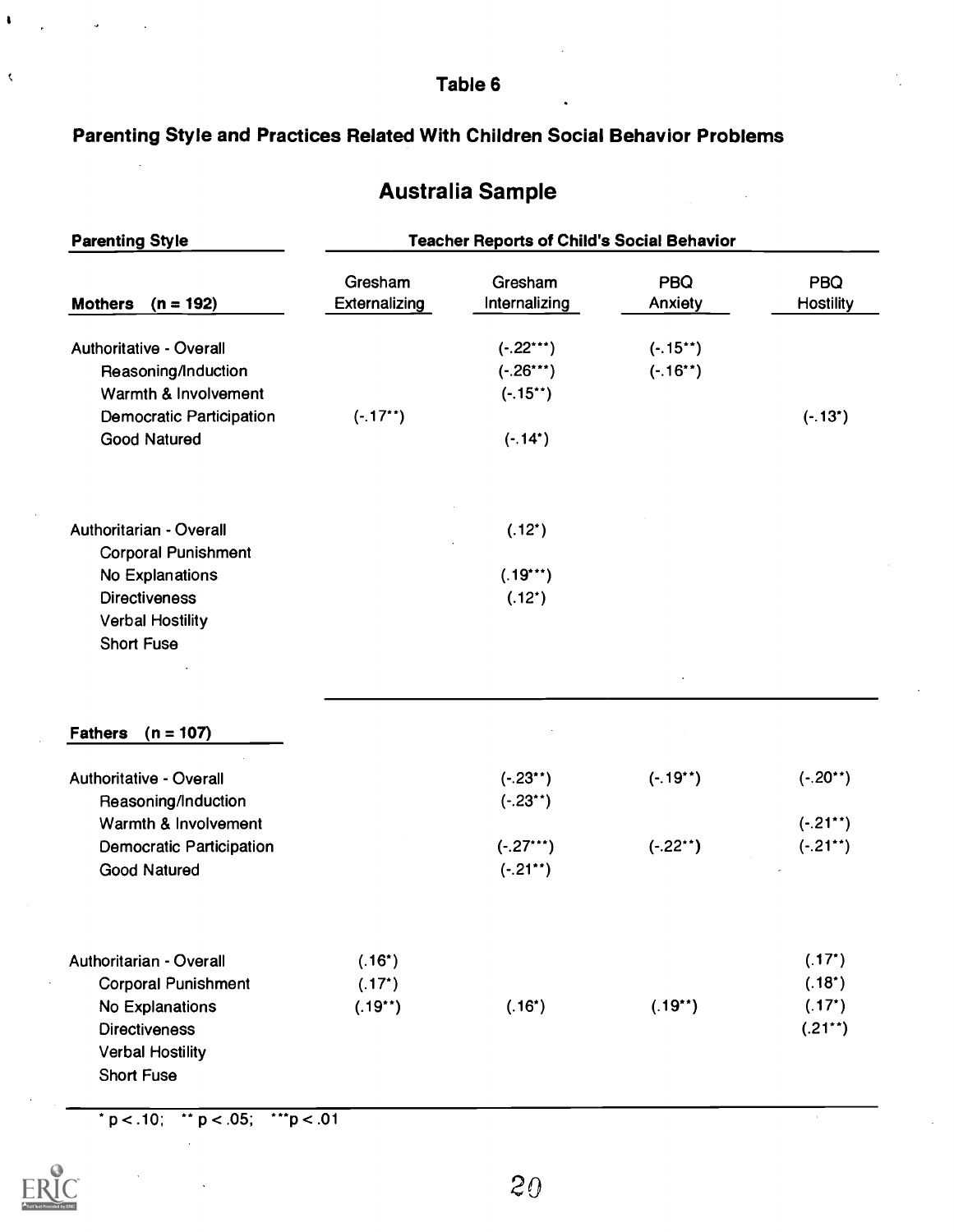Table 6

# Parenting Style and Practices Related With Children Social Behavior Problems

# Australia Sample

| <b>Parenting Style</b>                                                                           | <b>Teacher Reports of Child's Social Behavior</b> |                                          |                          |                                           |  |  |
|--------------------------------------------------------------------------------------------------|---------------------------------------------------|------------------------------------------|--------------------------|-------------------------------------------|--|--|
| <b>Mothers</b><br>$(n = 192)$                                                                    | Gresham<br><b>Externalizing</b>                   | Gresham<br>Internalizing                 | PBQ<br>Anxiety           | PBQ<br><b>Hostility</b>                   |  |  |
| <b>Authoritative - Overall</b><br>Reasoning/Induction<br>Warmth & Involvement                    |                                                   | $(-.22***)$<br>$(-.26***)$<br>$(-.15**)$ | $(-.15**)$<br>$(-.16**)$ |                                           |  |  |
| <b>Democratic Participation</b><br><b>Good Natured</b>                                           | $(-.17**)$                                        | $(-.14^*)$                               |                          | $(-.13^*)$                                |  |  |
| Authoritarian - Overall<br><b>Corporal Punishment</b>                                            |                                                   | $(.12^*)$                                |                          |                                           |  |  |
| No Explanations<br><b>Directiveness</b><br><b>Verbal Hostility</b><br><b>Short Fuse</b>          |                                                   | $(.19***)$<br>$(.12^*)$                  |                          |                                           |  |  |
|                                                                                                  |                                                   |                                          |                          |                                           |  |  |
| $(n = 107)$<br><b>Fathers</b>                                                                    |                                                   |                                          |                          |                                           |  |  |
| <b>Authoritative - Overall</b><br>Reasoning/Induction                                            |                                                   | $(-.23^{**})$<br>$(-.23^{**})$           | $(-.19**)$               | $(-.20**)$                                |  |  |
| Warmth & Involvement<br><b>Democratic Participation</b><br><b>Good Natured</b>                   |                                                   | $(-.27***)$<br>$(-.21**)$                | $(-.22**)$               | $(-.21**)$<br>$(-.21**)$                  |  |  |
| Authoritarian - Overall                                                                          | $(.16^*)$                                         |                                          |                          | $(.17^{\circ})$                           |  |  |
| <b>Corporal Punishment</b><br>No Explanations<br><b>Directiveness</b><br><b>Verbal Hostility</b> | $(.17^*)$<br>$(.19**)$                            | $(.16^*)$                                | $(.19**)$                | $(.18^*)$<br>$(.17^{\star})$<br>$(.21**)$ |  |  |
| <b>Short Fuse</b>                                                                                |                                                   |                                          |                          |                                           |  |  |

 $p < .10;$  \* p < .05; \*\*p < .01



 $\bullet$ 

 $\bar{\zeta}$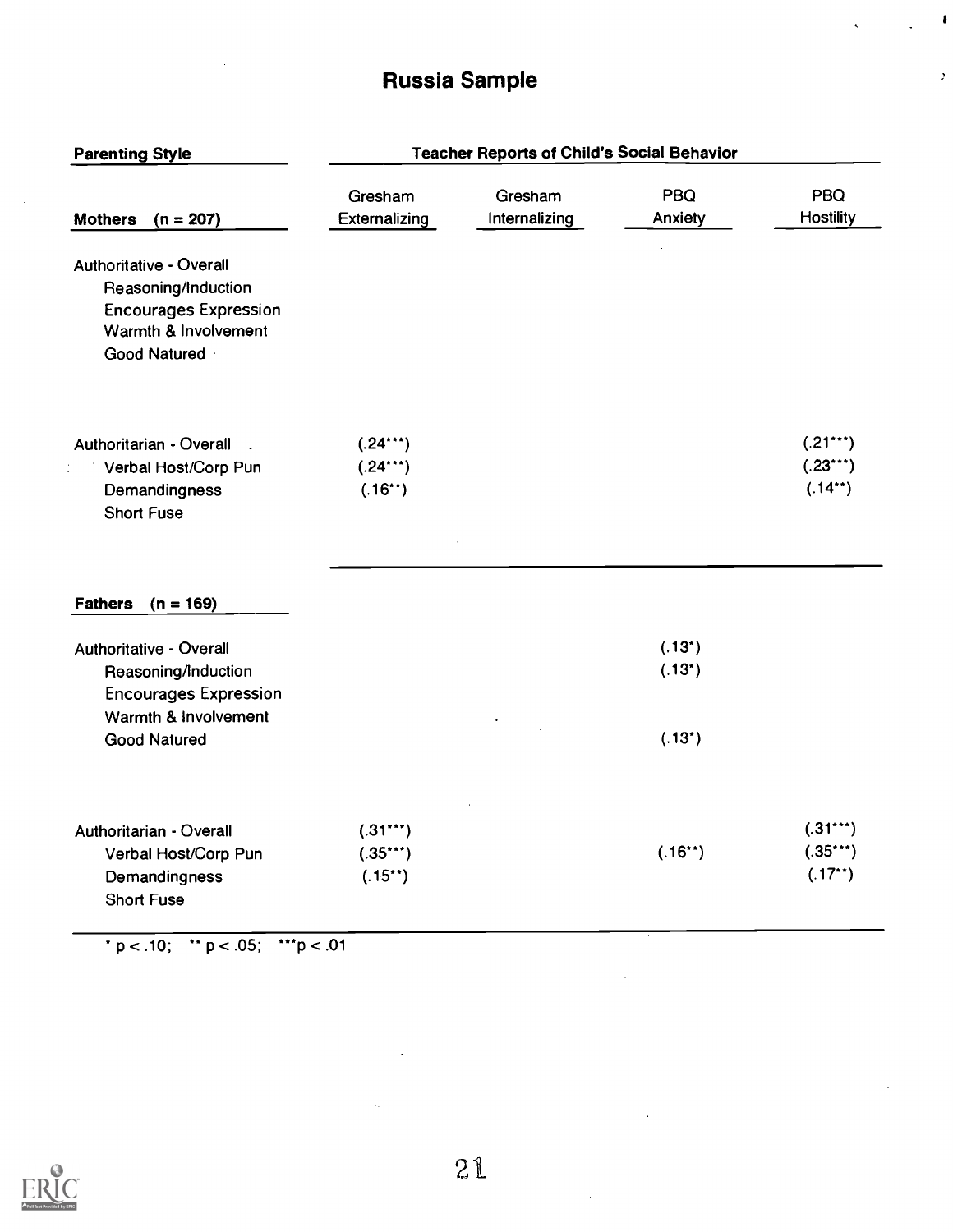# Russia Sample

 $\bar{z}$ 

 $\bullet$ 

 $\overline{\phantom{a}}$ 

| Gresham                                  |                          |                 |                                       |
|------------------------------------------|--------------------------|-----------------|---------------------------------------|
| Externalizing                            | Gresham<br>Internalizing | PBQ<br>Anxiety  | PBQ<br><b>Hostility</b>               |
|                                          |                          |                 |                                       |
| $(.24***)$<br>$(.24***)$<br>$(.16^{**})$ |                          |                 | $(.21***)$<br>$(.23***)$<br>$(.14**)$ |
|                                          |                          |                 |                                       |
|                                          |                          | $(.13^{\circ})$ |                                       |
|                                          |                          |                 |                                       |
|                                          |                          | $(.13^{\circ})$ |                                       |
| $(.31***)$                               |                          |                 | $(.31***)$                            |
| $(.35***)$                               |                          | $(.16**)$       | $(.35***)$                            |
| $(.15**)$                                |                          |                 | $(.17**)$                             |
|                                          |                          |                 | $(.13^{\circ})$                       |

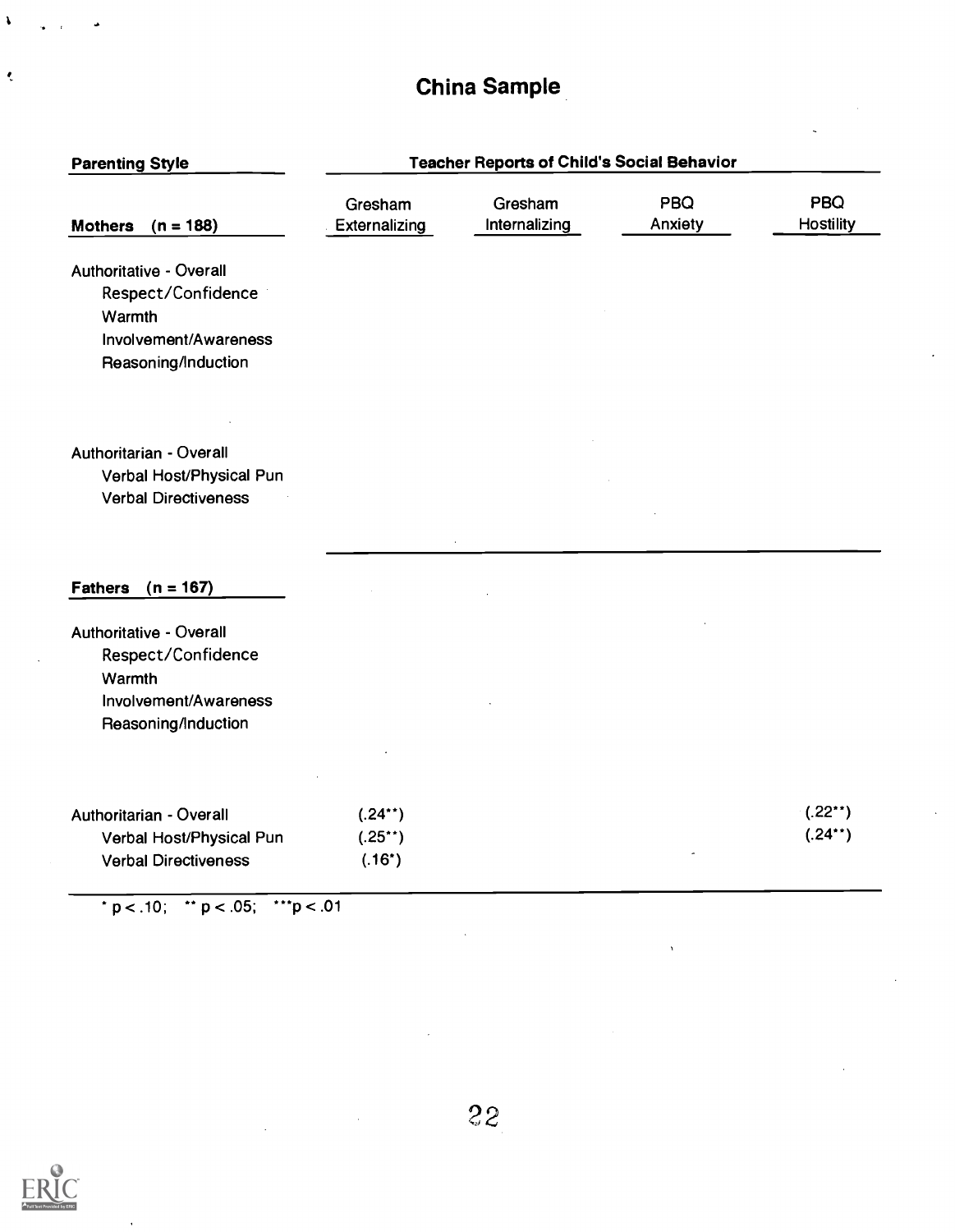# China Sample

| <b>Parenting Style</b>                                                                                  | <b>Teacher Reports of Child's Social Behavior</b> |                          |                       |                           |  |  |
|---------------------------------------------------------------------------------------------------------|---------------------------------------------------|--------------------------|-----------------------|---------------------------|--|--|
| Mothers $(n = 188)$                                                                                     | Gresham<br>Externalizing                          | Gresham<br>Internalizing | <b>PBQ</b><br>Anxiety | PBQ<br><b>Hostility</b>   |  |  |
| Authoritative - Overall<br>Respect/Confidence<br>Warmth<br>Involvement/Awareness<br>Reasoning/Induction |                                                   |                          |                       |                           |  |  |
| Authoritarian - Overall<br>Verbal Host/Physical Pun<br><b>Verbal Directiveness</b>                      |                                                   |                          |                       |                           |  |  |
| $(n = 167)$<br><b>Fathers</b>                                                                           |                                                   |                          |                       |                           |  |  |
| Authoritative - Overall<br>Respect/Confidence<br>Warmth<br>Involvement/Awareness<br>Reasoning/Induction |                                                   |                          |                       |                           |  |  |
| Authoritarian - Overall<br>Verbal Host/Physical Pun<br><b>Verbal Directiveness</b>                      | $(.24**)$<br>$(.25**)$<br>$(.16^*)$               |                          |                       | $(.22^{**})$<br>$(.24**)$ |  |  |

\* p < .10; \*\* p < .05; \*\*\*p < .01



 $\pmb{\lambda}$ 

 $\bar{\zeta}$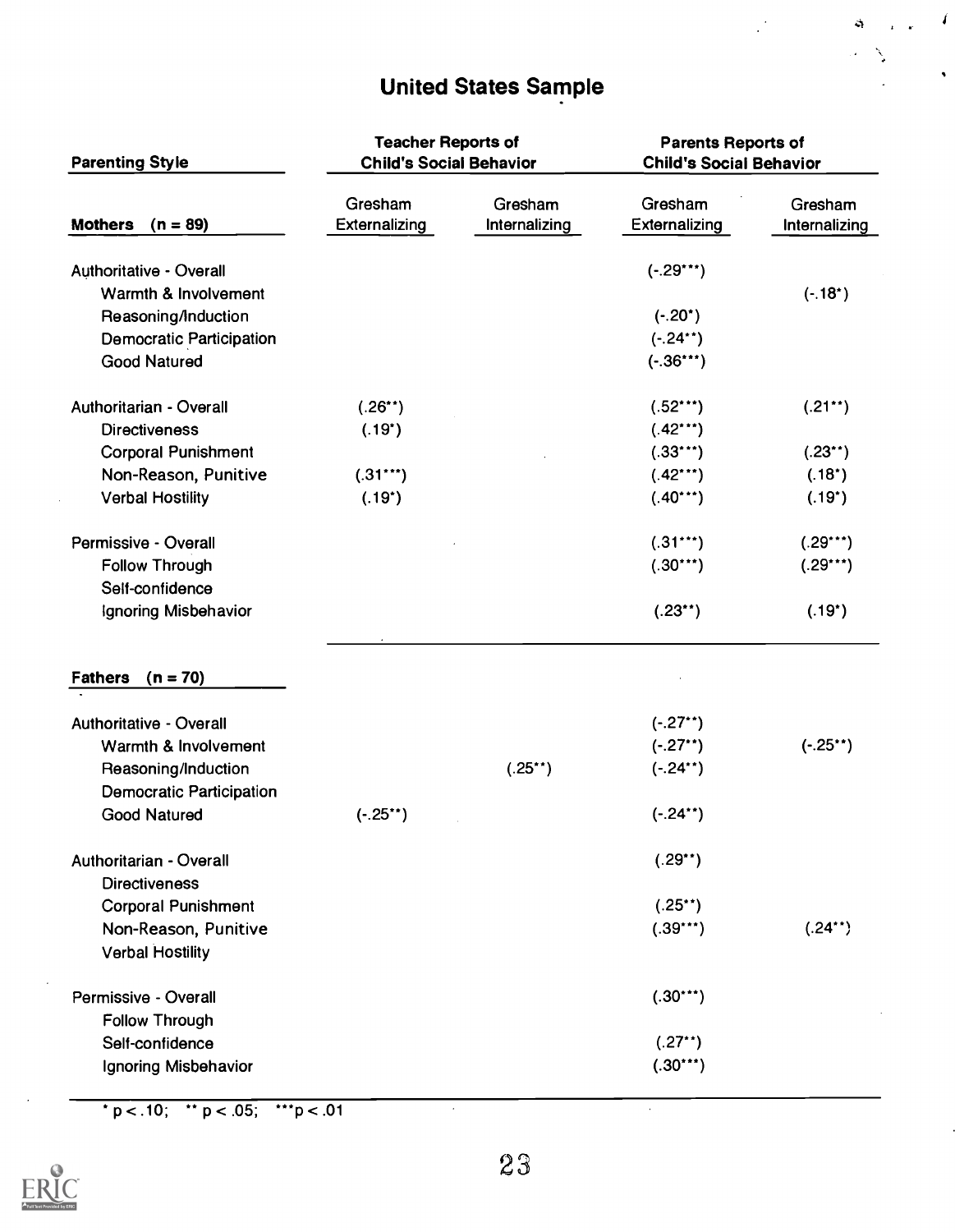# United States Sample

 $\overline{\mathbf{I}}$ 

Ġ

| <b>Parenting Style</b>                                 | <b>Teacher Reports of</b><br><b>Child's Social Behavior</b> |                          | <b>Parents Reports of</b><br><b>Child's Social Behavior</b> |                          |  |
|--------------------------------------------------------|-------------------------------------------------------------|--------------------------|-------------------------------------------------------------|--------------------------|--|
| Mothers $(n = 89)$                                     | Gresham<br><b>Externalizing</b>                             | Gresham<br>Internalizing | Gresham<br>Externalizing                                    | Gresham<br>Internalizing |  |
| Authoritative - Overall                                |                                                             |                          | $(-.29***)$                                                 |                          |  |
| Warmth & Involvement                                   |                                                             |                          |                                                             | $(-.18^*)$               |  |
| Reasoning/Induction                                    |                                                             |                          | $(-.20^{\star})$                                            |                          |  |
| <b>Democratic Participation</b>                        |                                                             |                          | $(-.24**)$                                                  |                          |  |
| <b>Good Natured</b>                                    |                                                             |                          | $(-.36***)$                                                 |                          |  |
| Authoritarian - Overall                                | $(.26**)$                                                   |                          | $(.52***)$                                                  | $(.21**)$                |  |
| <b>Directiveness</b>                                   | $(.19^*)$                                                   |                          | $(.42***)$                                                  |                          |  |
| <b>Corporal Punishment</b>                             |                                                             |                          | $(.33***)$                                                  | $(.23^{**})$             |  |
| Non-Reason, Punitive                                   | $(.31***)$                                                  |                          | $(.42***)$                                                  | $(.18^{\circ})$          |  |
| <b>Verbal Hostility</b>                                | $(.19^{\circ})$                                             |                          | $(.40***)$                                                  | $(.19^*)$                |  |
| Permissive - Overall                                   |                                                             |                          | $(.31***)$                                                  | $(.29***)$               |  |
| <b>Follow Through</b>                                  |                                                             |                          | $(.30***)$                                                  | $(.29***)$               |  |
| Self-confidence                                        |                                                             |                          |                                                             |                          |  |
| <b>Ignoring Misbehavior</b>                            |                                                             |                          | $(.23^{**})$                                                | $(.19^{\circ})$          |  |
| <b>Fathers</b><br>$(n = 70)$                           |                                                             |                          |                                                             |                          |  |
| Authoritative - Overall                                |                                                             |                          | $(-.27^{**})$                                               |                          |  |
| Warmth & Involvement                                   |                                                             |                          | $(-.27**)$                                                  | $(-.25^{**})$            |  |
| Reasoning/Induction<br><b>Democratic Participation</b> |                                                             | $(.25**)$                | $(-.24**)$                                                  |                          |  |
| <b>Good Natured</b>                                    | $(-.25^{**})$                                               |                          | $(-.24**)$                                                  |                          |  |
| Authoritarian - Overall                                |                                                             |                          | $(.29**)$                                                   |                          |  |
| <b>Directiveness</b>                                   |                                                             |                          |                                                             |                          |  |
| <b>Corporal Punishment</b>                             |                                                             |                          | $(.25^{\star})$                                             |                          |  |
| Non-Reason, Punitive<br><b>Verbal Hostility</b>        |                                                             |                          | $(.39***)$                                                  | $(.24**)$                |  |
| Permissive - Overall                                   |                                                             |                          | $(.30***)$                                                  |                          |  |
| <b>Follow Through</b>                                  |                                                             |                          |                                                             |                          |  |
| Self-confidence                                        |                                                             |                          | $(.27**)$                                                   |                          |  |
| Ignoring Misbehavior                                   |                                                             |                          | $(.30***)$                                                  |                          |  |

\*  $p < .10$ ; \*\*  $p < .05$ ; \*\*\* $p < .01$ 



 $\bar{.}$ 

 $\bar{\gamma}$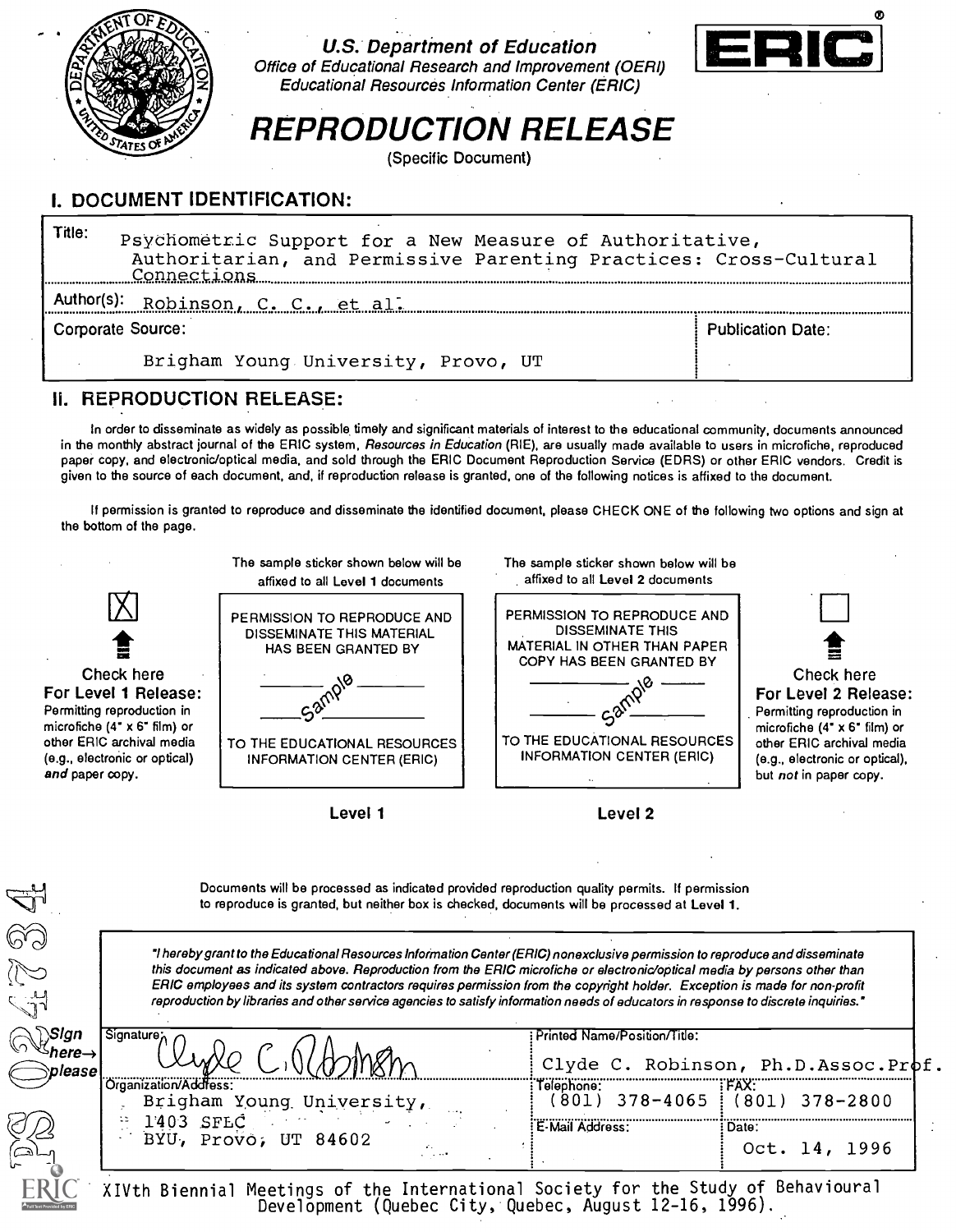

U.S. Department of Education Office of Educational Research and Improvement (OERI) Educational Resources Information Center (ERIC)



# REPRODUCTION RELEASE

(Specific Document)

## I. DOCUMENT IDENTIFICATION:

| Title:<br>Psychometric Support for a New Measure of Authoritative,<br>Authoritarian, and Permissive Parenting Practices: Cross-Cultural<br>Connections |  |  |  |  |  |  |  |
|--------------------------------------------------------------------------------------------------------------------------------------------------------|--|--|--|--|--|--|--|
| Author(s):<br>Robinson, C. C., et al.                                                                                                                  |  |  |  |  |  |  |  |
| Corporate Source:<br><b>Publication Date:</b>                                                                                                          |  |  |  |  |  |  |  |
| Brigham Young University, Provo, UT                                                                                                                    |  |  |  |  |  |  |  |

#### II. REPRODUCTION RELEASE:

In order to disseminate as widely as possible timely and significant materials of interest to the educational community, documents announced in the monthly abstract journal of the ERIC system, Resources in Education (RIE), are usually made available to users in microfiche, reproduced paper copy, and electronic/optical media, and sold through the ERIC Document Reproduction Service (EDRS) or other ERIC vendors. Credit is given to the source of each document, and, if reproduction release is granted, one of the following notices is affixed to the document.

If permission is granted to reproduce and disseminate the identified document, please CHECK ONE of the following two options and sign at the bottom of the page.



Documents will be processed as indicated provided reproduction quality permits. If permission to reproduce is granted, but neither box is checked, documents will be processed at Level 1.

hereby grant to the Educational Resources Information Center (ERIC) nonexclusive permission to reproduce and disseminate this document as indicated above. Reproduction from the ERIC microfiche or electronic/optical media by persons other than ERIC employees and its system contractors requires permission from the copyright holder. Exception is made for non-profit reproduction by libraries and other service agencies to satisfy information needs of educators in response to discrete inquiries.'

| Signature:<br>Printed Name/Position/Title:                                 |  |
|----------------------------------------------------------------------------|--|
|                                                                            |  |
| Clyde C. Robinson, Ph.D.Assoc.Prof.<br><i><b>Nease</b></i>                 |  |
| <b>FFAX:</b><br>.)roanization/Address:<br>Telephone:                       |  |
| 801) 378-4065 !<br>(801) 378-2800<br>Brigham Young University,<br>$\cdots$ |  |
| 1403 SFLC<br>: E-Mail Address:<br>: Date:                                  |  |
| BYU, Provo, UT 84602<br>1996<br>Oct.<br>ساھ<br>and the state               |  |
| r - -                                                                      |  |

XIVth Biennial Meetings of the International Society for the Study of Behavioural Development (Quebec City, Quebec, August 12-16, 1996).